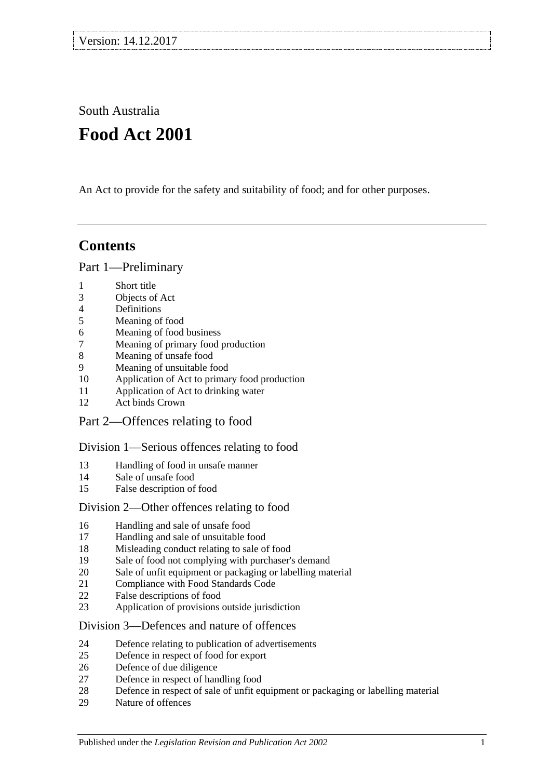South Australia

# **Food Act 2001**

An Act to provide for the safety and suitability of food; and for other purposes.

# **Contents**

[Part 1—Preliminary](#page-3-0)

- [Short title](#page-3-1)
- [Objects of Act](#page-3-2)
- [Definitions](#page-3-3)
- [Meaning of food](#page-7-0)
- [Meaning of food business](#page-7-1)
- [Meaning of primary food production](#page-7-2)
- [Meaning of unsafe food](#page-8-0)
- [Meaning of unsuitable food](#page-9-0)
- [Application of Act to primary food production](#page-10-0)
- [Application of Act to drinking water](#page-10-1)
- [Act binds Crown](#page-10-2)
- [Part 2—Offences relating to food](#page-10-3)

## [Division 1—Serious offences relating to food](#page-10-4)

- [Handling of food in unsafe manner](#page-10-5)
- [Sale of unsafe food](#page-11-0)
- [False description of food](#page-11-1)

## [Division 2—Other offences relating to food](#page-12-0)

- [Handling and sale of unsafe food](#page-12-1)
- [Handling and sale of unsuitable food](#page-12-2)
- [Misleading conduct relating to sale of food](#page-12-3)
- [Sale of food not complying with purchaser's demand](#page-13-0)
- [Sale of unfit equipment or packaging or labelling material](#page-13-1)
- [Compliance with Food Standards Code](#page-13-2)
- [False descriptions of food](#page-14-0)
- [Application of provisions outside jurisdiction](#page-15-0)

## [Division 3—Defences and nature of offences](#page-15-1)

- [Defence relating to publication of advertisements](#page-15-2)
- [Defence in respect of food for export](#page-15-3)
- [Defence of due diligence](#page-15-4)
- [Defence in respect of handling food](#page-16-0)
- [Defence in respect of sale of unfit equipment or packaging or labelling material](#page-17-0)
- [Nature of offences](#page-17-1)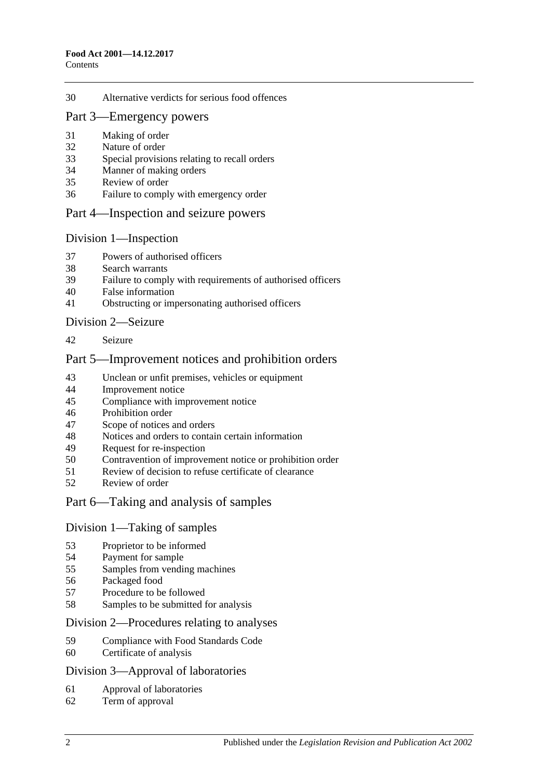#### [Alternative verdicts for serious food offences](#page-17-2)

#### [Part 3—Emergency powers](#page-18-0)

- [Making of order](#page-18-1)
- [Nature of order](#page-18-2)
- [Special provisions relating to recall orders](#page-18-3)
- [Manner of making orders](#page-19-0)
- [Review of order](#page-19-1)
- [Failure to comply with emergency order](#page-20-0)

#### [Part 4—Inspection and seizure powers](#page-20-1)

#### [Division 1—Inspection](#page-20-2)

- [Powers of authorised officers](#page-20-3)
- [Search warrants](#page-22-0)
- [Failure to comply with requirements of authorised officers](#page-22-1)
- [False information](#page-22-2)
- [Obstructing or impersonating authorised officers](#page-22-3)

#### [Division 2—Seizure](#page-23-0)

[Seizure](#page-23-1)

#### [Part 5—Improvement notices and prohibition orders](#page-25-0)

- [Unclean or unfit premises, vehicles or equipment](#page-25-1)
- [Improvement notice](#page-25-2)
- [Compliance with improvement notice](#page-26-0)
- [Prohibition order](#page-26-1)
- [Scope of notices and orders](#page-27-0)
- [Notices and orders to contain certain information](#page-27-1)
- [Request for re-inspection](#page-27-2)
- [Contravention of improvement notice or prohibition order](#page-28-0)<br>51 Review of decision to refuse certificate of clearance
- [Review of decision to refuse certificate of clearance](#page-28-1)
- [Review of order](#page-28-2)

## [Part 6—Taking and analysis of samples](#page-29-0)

#### [Division 1—Taking of samples](#page-29-1)

- [Proprietor to be informed](#page-29-2)<br>54 Payment for sample
- [Payment for sample](#page-29-3)
- [Samples from vending machines](#page-29-4)
- [Packaged food](#page-29-5)
- Procedure [to be followed](#page-29-6)
- [Samples to be submitted for analysis](#page-30-0)

#### [Division 2—Procedures relating to analyses](#page-30-1)

- [Compliance with Food Standards Code](#page-30-2)
- [Certificate of analysis](#page-30-3)

#### [Division 3—Approval of laboratories](#page-31-0)

- [Approval of laboratories](#page-31-1)
- [Term of approval](#page-31-2)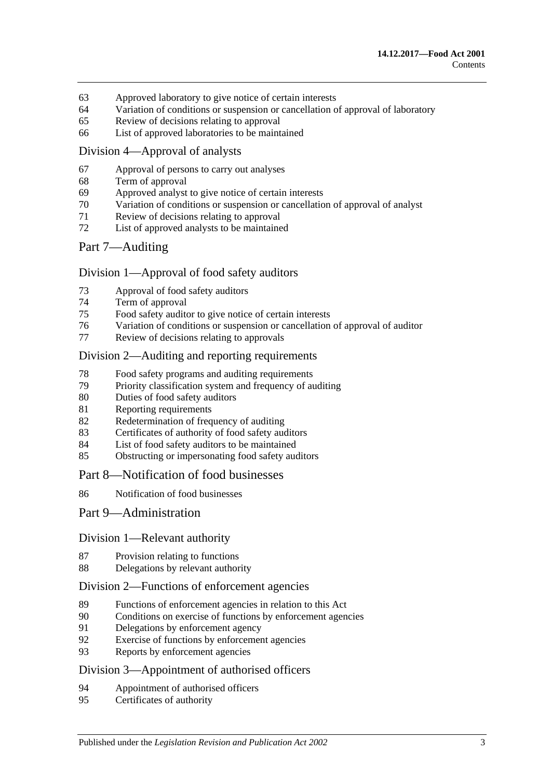- [Approved laboratory to give notice of certain interests](#page-32-0)
- [Variation of conditions or suspension or cancellation of approval of laboratory](#page-32-1)
- [Review of decisions relating to approval](#page-33-0)
- [List of approved laboratories to be maintained](#page-33-1)

### [Division 4—Approval of analysts](#page-33-2)

- [Approval of persons to carry out analyses](#page-33-3)
- [Term of approval](#page-33-4)
- [Approved analyst to give notice of certain interests](#page-34-0)
- [Variation of conditions or suspension or cancellation of approval of analyst](#page-34-1)
- [Review of decisions relating to approval](#page-34-2)
- [List of approved analysts to be maintained](#page-35-0)

## [Part 7—Auditing](#page-35-1)

## [Division 1—Approval of food safety auditors](#page-35-2)

- [Approval of food safety auditors](#page-35-3)
- [Term of approval](#page-35-4)
- [Food safety auditor to give notice of certain interests](#page-36-0)
- [Variation of conditions or suspension or cancellation of approval of auditor](#page-36-1)
- [Review of decisions relating to approvals](#page-37-0)

#### [Division 2—Auditing and reporting requirements](#page-37-1)

- [Food safety programs and auditing requirements](#page-37-2)
- [Priority classification system and frequency of auditing](#page-38-0)
- [Duties of food safety auditors](#page-38-1)
- [Reporting requirements](#page-38-2)
- [Redetermination of frequency of auditing](#page-39-0)
- [Certificates of authority of food safety auditors](#page-40-0)
- [List of food safety auditors to be maintained](#page-40-1)
- [Obstructing or impersonating food safety auditors](#page-40-2)

#### [Part 8—Notification of food businesses](#page-40-3)

[Notification of food businesses](#page-40-4)

#### [Part 9—Administration](#page-41-0)

#### [Division 1—Relevant authority](#page-41-1)

- [Provision relating to functions](#page-41-2)
- [Delegations by relevant authority](#page-41-3)

## [Division 2—Functions of enforcement agencies](#page-42-0)

- [Functions of enforcement agencies in relation to this Act](#page-42-1)<br>90 Conditions on exercise of functions by enforcement agency
- [Conditions on exercise of functions by enforcement agencies](#page-42-2)
- [Delegations by enforcement agency](#page-42-3)
- [Exercise of functions by enforcement agencies](#page-43-0)
- [Reports by enforcement agencies](#page-43-1)

## [Division 3—Appointment of authorised officers](#page-43-2)

- [Appointment of authorised officers](#page-43-3)
- [Certificates of authority](#page-43-4)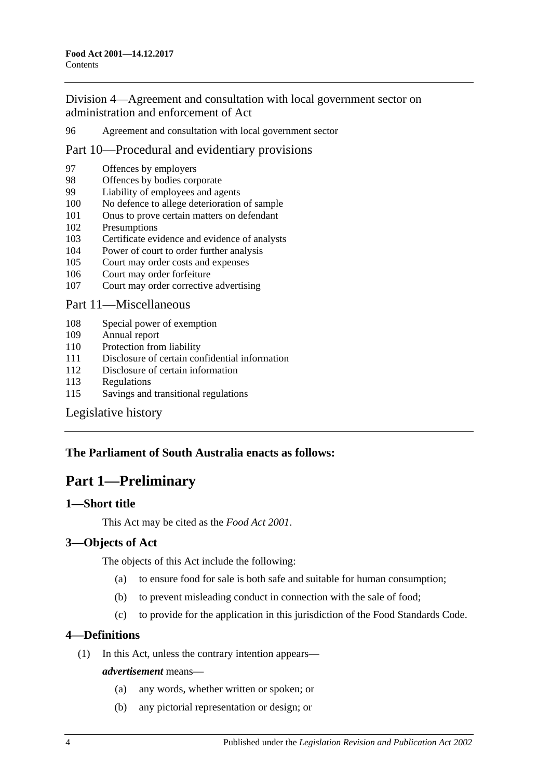[Division 4—Agreement and consultation with local government sector on](#page-43-5)  [administration and enforcement of Act](#page-43-5)

96 [Agreement and consultation with local government sector](#page-43-6)

## [Part 10—Procedural and evidentiary provisions](#page-44-0)

- 97 [Offences by employers](#page-44-1)
- 98 [Offences by bodies corporate](#page-44-2)<br>99 Liability of employees and ag
- [Liability of employees and agents](#page-44-3)
- 100 [No defence to allege deterioration of sample](#page-45-0)
- 101 [Onus to prove certain matters on defendant](#page-45-1)
- 102 [Presumptions](#page-45-2)
- 103 [Certificate evidence and evidence of analysts](#page-46-0)
- 104 [Power of court to order further analysis](#page-47-0)
- 105 [Court may order costs and expenses](#page-47-1)
- 106 [Court may order forfeiture](#page-47-2)
- 107 [Court may order corrective advertising](#page-47-3)

#### [Part 11—Miscellaneous](#page-47-4)

- 108 [Special power of exemption](#page-47-5)
- 109 [Annual report](#page-48-0)
- 110 [Protection from liability](#page-48-1)
- 111 [Disclosure of certain confidential information](#page-48-2)
- 112 [Disclosure of certain information](#page-48-3)
- 113 [Regulations](#page-49-0)
- 115 [Savings and transitional regulations](#page-51-0)

## [Legislative history](#page-52-0)

## <span id="page-3-0"></span>**The Parliament of South Australia enacts as follows:**

# **Part 1—Preliminary**

## <span id="page-3-1"></span>**1—Short title**

This Act may be cited as the *Food Act 2001*.

## <span id="page-3-2"></span>**3—Objects of Act**

The objects of this Act include the following:

- (a) to ensure food for sale is both safe and suitable for human consumption;
- (b) to prevent misleading conduct in connection with the sale of food;
- (c) to provide for the application in this jurisdiction of the Food Standards Code.

## <span id="page-3-3"></span>**4—Definitions**

(1) In this Act, unless the contrary intention appears—

#### *advertisement* means—

- (a) any words, whether written or spoken; or
- (b) any pictorial representation or design; or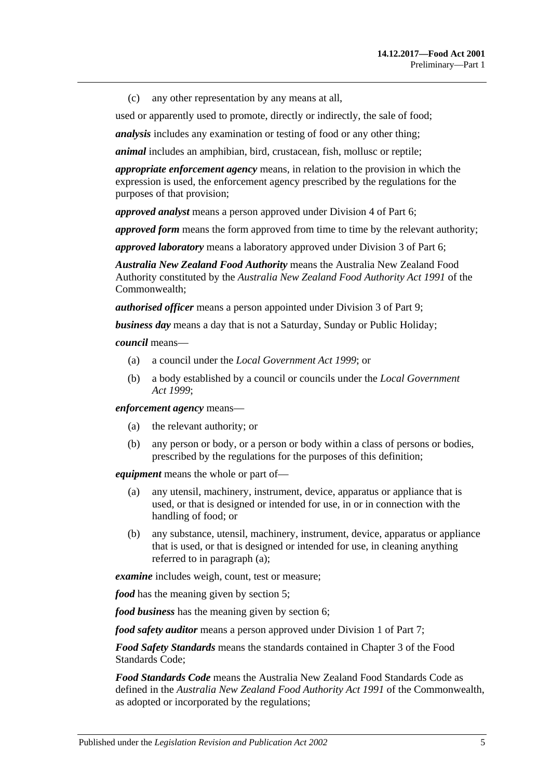(c) any other representation by any means at all,

used or apparently used to promote, directly or indirectly, the sale of food;

*analysis* includes any examination or testing of food or any other thing;

*animal* includes an amphibian, bird, crustacean, fish, mollusc or reptile;

*appropriate enforcement agency* means, in relation to the provision in which the expression is used, the enforcement agency prescribed by the regulations for the purposes of that provision;

*approved analyst* means a person approved under [Division 4](#page-33-2) of [Part 6;](#page-29-0)

*approved form* means the form approved from time to time by the relevant authority;

*approved laboratory* means a laboratory approved under [Division 3](#page-31-0) of [Part 6;](#page-29-0)

*Australia New Zealand Food Authority* means the Australia New Zealand Food Authority constituted by the *Australia New Zealand Food Authority Act 1991* of the Commonwealth;

*authorised officer* means a person appointed under [Division 3](#page-43-2) of [Part 9;](#page-41-0)

*business day* means a day that is not a Saturday, Sunday or Public Holiday;

*council* means—

- (a) a council under the *[Local Government Act](http://www.legislation.sa.gov.au/index.aspx?action=legref&type=act&legtitle=Local%20Government%20Act%201999) 1999*; or
- (b) a body established by a council or councils under the *[Local Government](http://www.legislation.sa.gov.au/index.aspx?action=legref&type=act&legtitle=Local%20Government%20Act%201999)  Act [1999](http://www.legislation.sa.gov.au/index.aspx?action=legref&type=act&legtitle=Local%20Government%20Act%201999)*;

*enforcement agency* means—

- (a) the relevant authority; or
- (b) any person or body, or a person or body within a class of persons or bodies, prescribed by the regulations for the purposes of this definition;

<span id="page-4-0"></span>*equipment* means the whole or part of—

- (a) any utensil, machinery, instrument, device, apparatus or appliance that is used, or that is designed or intended for use, in or in connection with the handling of food; or
- (b) any substance, utensil, machinery, instrument, device, apparatus or appliance that is used, or that is designed or intended for use, in cleaning anything referred to in [paragraph](#page-4-0) (a);

*examine* includes weigh, count, test or measure;

*food* has the meaning given by [section](#page-7-0) 5:

*food business* has the meaning given by [section](#page-7-1) 6;

*food safety auditor* means a person approved under [Division 1](#page-35-2) of [Part 7;](#page-35-1)

*Food Safety Standards* means the standards contained in Chapter 3 of the Food Standards Code;

*Food Standards Code* means the Australia New Zealand Food Standards Code as defined in the *Australia New Zealand Food Authority Act 1991* of the Commonwealth, as adopted or incorporated by the regulations;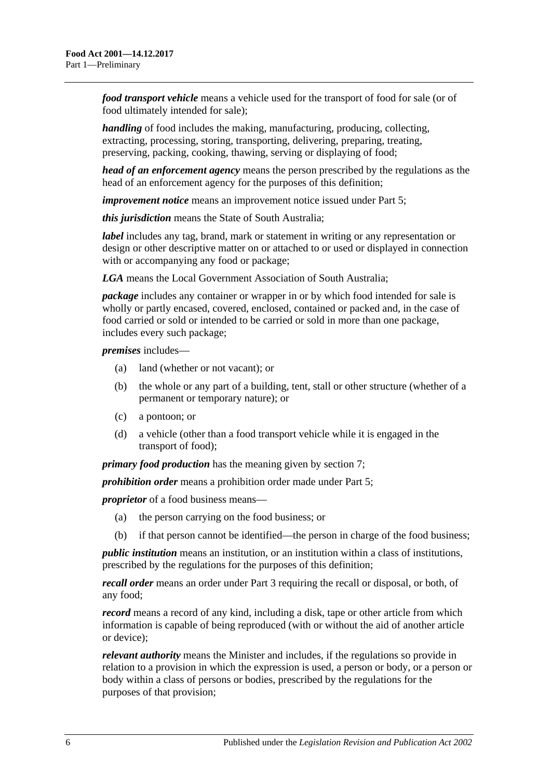*food transport vehicle* means a vehicle used for the transport of food for sale (or of food ultimately intended for sale);

*handling* of food includes the making, manufacturing, producing, collecting, extracting, processing, storing, transporting, delivering, preparing, treating, preserving, packing, cooking, thawing, serving or displaying of food;

*head of an enforcement agency* means the person prescribed by the regulations as the head of an enforcement agency for the purposes of this definition;

*improvement notice* means an improvement notice issued under [Part 5;](#page-25-0)

*this jurisdiction* means the State of South Australia;

*label* includes any tag, brand, mark or statement in writing or any representation or design or other descriptive matter on or attached to or used or displayed in connection with or accompanying any food or package;

*LGA* means the Local Government Association of South Australia;

*package* includes any container or wrapper in or by which food intended for sale is wholly or partly encased, covered, enclosed, contained or packed and, in the case of food carried or sold or intended to be carried or sold in more than one package, includes every such package;

*premises* includes—

- (a) land (whether or not vacant); or
- (b) the whole or any part of a building, tent, stall or other structure (whether of a permanent or temporary nature); or
- (c) a pontoon; or
- (d) a vehicle (other than a food transport vehicle while it is engaged in the transport of food);

*primary food production* has the meaning given by [section](#page-7-2) 7;

*prohibition order* means a prohibition order made under [Part 5;](#page-25-0)

*proprietor* of a food business means—

- (a) the person carrying on the food business; or
- (b) if that person cannot be identified—the person in charge of the food business;

*public institution* means an institution, or an institution within a class of institutions, prescribed by the regulations for the purposes of this definition;

*recall order* means an order under [Part 3](#page-18-0) requiring the recall or disposal, or both, of any food;

*record* means a record of any kind, including a disk, tape or other article from which information is capable of being reproduced (with or without the aid of another article or device);

*relevant authority* means the Minister and includes, if the regulations so provide in relation to a provision in which the expression is used, a person or body, or a person or body within a class of persons or bodies, prescribed by the regulations for the purposes of that provision;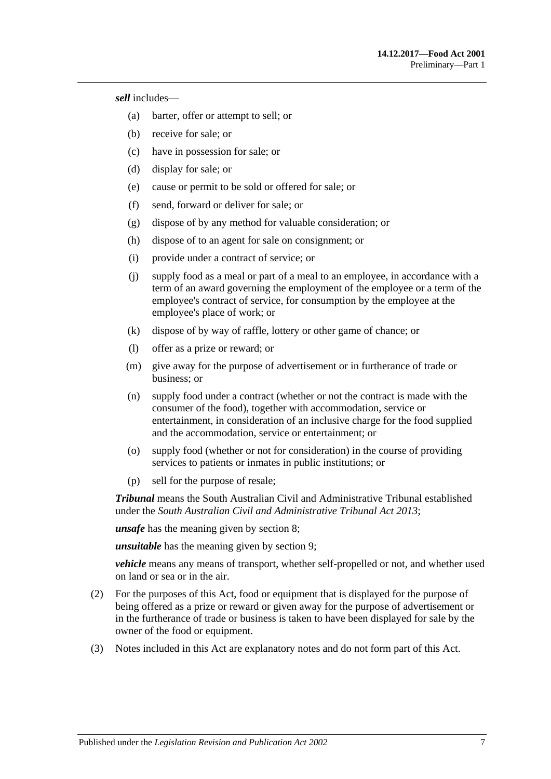*sell* includes—

- (a) barter, offer or attempt to sell; or
- (b) receive for sale; or
- (c) have in possession for sale; or
- (d) display for sale; or
- (e) cause or permit to be sold or offered for sale; or
- (f) send, forward or deliver for sale; or
- (g) dispose of by any method for valuable consideration; or
- (h) dispose of to an agent for sale on consignment; or
- (i) provide under a contract of service; or
- (j) supply food as a meal or part of a meal to an employee, in accordance with a term of an award governing the employment of the employee or a term of the employee's contract of service, for consumption by the employee at the employee's place of work; or
- (k) dispose of by way of raffle, lottery or other game of chance; or
- (l) offer as a prize or reward; or
- (m) give away for the purpose of advertisement or in furtherance of trade or business; or
- (n) supply food under a contract (whether or not the contract is made with the consumer of the food), together with accommodation, service or entertainment, in consideration of an inclusive charge for the food supplied and the accommodation, service or entertainment; or
- (o) supply food (whether or not for consideration) in the course of providing services to patients or inmates in public institutions; or
- (p) sell for the purpose of resale;

*Tribunal* means the South Australian Civil and Administrative Tribunal established under the *[South Australian Civil and Administrative Tribunal Act](http://www.legislation.sa.gov.au/index.aspx?action=legref&type=act&legtitle=South%20Australian%20Civil%20and%20Administrative%20Tribunal%20Act%202013) 2013*;

*unsafe* has the meaning given by [section](#page-8-0) 8;

*unsuitable* has the meaning given by [section](#page-9-0) 9;

*vehicle* means any means of transport, whether self-propelled or not, and whether used on land or sea or in the air.

- (2) For the purposes of this Act, food or equipment that is displayed for the purpose of being offered as a prize or reward or given away for the purpose of advertisement or in the furtherance of trade or business is taken to have been displayed for sale by the owner of the food or equipment.
- (3) Notes included in this Act are explanatory notes and do not form part of this Act.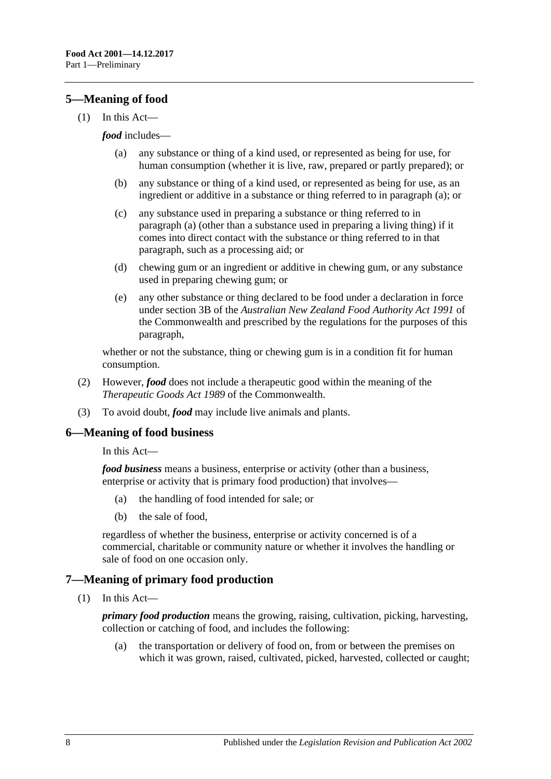## <span id="page-7-0"></span>**5—Meaning of food**

<span id="page-7-3"></span>(1) In this Act—

#### *food* includes—

- (a) any substance or thing of a kind used, or represented as being for use, for human consumption (whether it is live, raw, prepared or partly prepared); or
- (b) any substance or thing of a kind used, or represented as being for use, as an ingredient or additive in a substance or thing referred to in [paragraph](#page-7-3) (a); or
- (c) any substance used in preparing a substance or thing referred to in [paragraph](#page-7-3) (a) (other than a substance used in preparing a living thing) if it comes into direct contact with the substance or thing referred to in that paragraph, such as a processing aid; or
- (d) chewing gum or an ingredient or additive in chewing gum, or any substance used in preparing chewing gum; or
- (e) any other substance or thing declared to be food under a declaration in force under section 3B of the *Australian New Zealand Food Authority Act 1991* of the Commonwealth and prescribed by the regulations for the purposes of this paragraph,

whether or not the substance, thing or chewing gum is in a condition fit for human consumption.

- (2) However, *food* does not include a therapeutic good within the meaning of the *Therapeutic Goods Act 1989* of the Commonwealth.
- (3) To avoid doubt, *food* may include live animals and plants.

#### <span id="page-7-1"></span>**6—Meaning of food business**

In this Act—

*food business* means a business, enterprise or activity (other than a business, enterprise or activity that is primary food production) that involves—

- (a) the handling of food intended for sale; or
- (b) the sale of food,

regardless of whether the business, enterprise or activity concerned is of a commercial, charitable or community nature or whether it involves the handling or sale of food on one occasion only.

## <span id="page-7-2"></span>**7—Meaning of primary food production**

(1) In this Act—

*primary food production* means the growing, raising, cultivation, picking, harvesting, collection or catching of food, and includes the following:

(a) the transportation or delivery of food on, from or between the premises on which it was grown, raised, cultivated, picked, harvested, collected or caught;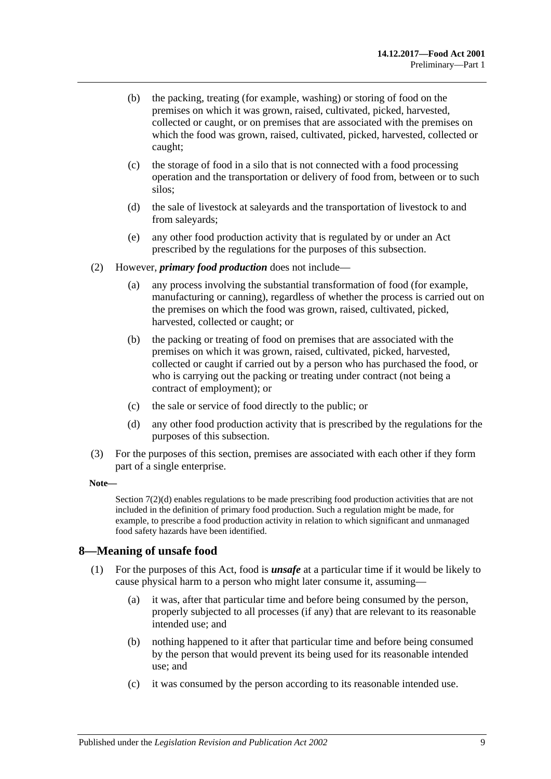- (b) the packing, treating (for example, washing) or storing of food on the premises on which it was grown, raised, cultivated, picked, harvested, collected or caught, or on premises that are associated with the premises on which the food was grown, raised, cultivated, picked, harvested, collected or caught;
- (c) the storage of food in a silo that is not connected with a food processing operation and the transportation or delivery of food from, between or to such silos;
- (d) the sale of livestock at saleyards and the transportation of livestock to and from saleyards;
- (e) any other food production activity that is regulated by or under an Act prescribed by the regulations for the purposes of this subsection.
- (2) However, *primary food production* does not include—
	- (a) any process involving the substantial transformation of food (for example, manufacturing or canning), regardless of whether the process is carried out on the premises on which the food was grown, raised, cultivated, picked, harvested, collected or caught; or
	- (b) the packing or treating of food on premises that are associated with the premises on which it was grown, raised, cultivated, picked, harvested, collected or caught if carried out by a person who has purchased the food, or who is carrying out the packing or treating under contract (not being a contract of employment); or
	- (c) the sale or service of food directly to the public; or
	- (d) any other food production activity that is prescribed by the regulations for the purposes of this subsection.
- <span id="page-8-1"></span>(3) For the purposes of this section, premises are associated with each other if they form part of a single enterprise.

#### **Note—**

[Section](#page-8-1) 7(2)(d) enables regulations to be made prescribing food production activities that are not included in the definition of primary food production. Such a regulation might be made, for example, to prescribe a food production activity in relation to which significant and unmanaged food safety hazards have been identified.

#### <span id="page-8-2"></span><span id="page-8-0"></span>**8—Meaning of unsafe food**

- (1) For the purposes of this Act, food is *unsafe* at a particular time if it would be likely to cause physical harm to a person who might later consume it, assuming—
	- (a) it was, after that particular time and before being consumed by the person, properly subjected to all processes (if any) that are relevant to its reasonable intended use; and
	- (b) nothing happened to it after that particular time and before being consumed by the person that would prevent its being used for its reasonable intended use; and
	- (c) it was consumed by the person according to its reasonable intended use.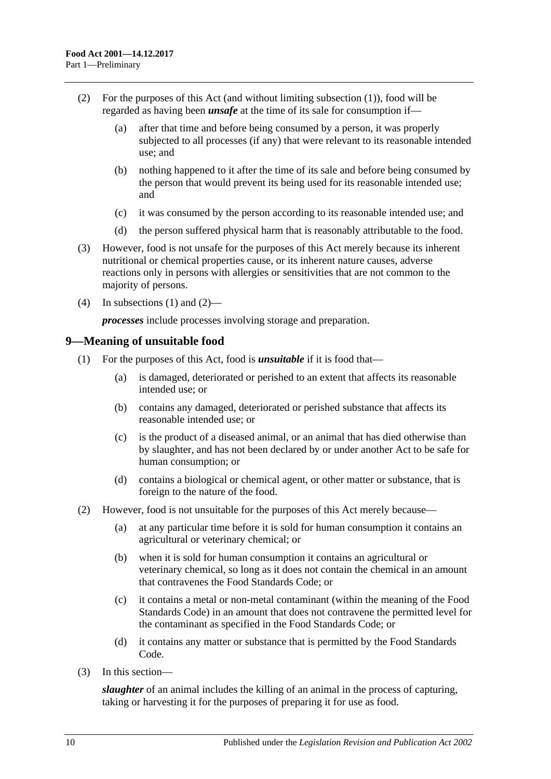- <span id="page-9-1"></span>(2) For the purposes of this Act (and without limiting [subsection](#page-8-2) (1)), food will be regarded as having been *unsafe* at the time of its sale for consumption if—
	- (a) after that time and before being consumed by a person, it was properly subjected to all processes (if any) that were relevant to its reasonable intended use; and
	- (b) nothing happened to it after the time of its sale and before being consumed by the person that would prevent its being used for its reasonable intended use; and
	- (c) it was consumed by the person according to its reasonable intended use; and
	- (d) the person suffered physical harm that is reasonably attributable to the food.
- (3) However, food is not unsafe for the purposes of this Act merely because its inherent nutritional or chemical properties cause, or its inherent nature causes, adverse reactions only in persons with allergies or sensitivities that are not common to the majority of persons.
- (4) In [subsections](#page-8-2) (1) and [\(2\)—](#page-9-1)

*processes* include processes involving storage and preparation.

#### <span id="page-9-0"></span>**9—Meaning of unsuitable food**

- (1) For the purposes of this Act, food is *unsuitable* if it is food that—
	- (a) is damaged, deteriorated or perished to an extent that affects its reasonable intended use; or
	- (b) contains any damaged, deteriorated or perished substance that affects its reasonable intended use; or
	- (c) is the product of a diseased animal, or an animal that has died otherwise than by slaughter, and has not been declared by or under another Act to be safe for human consumption; or
	- (d) contains a biological or chemical agent, or other matter or substance, that is foreign to the nature of the food.
- (2) However, food is not unsuitable for the purposes of this Act merely because—
	- (a) at any particular time before it is sold for human consumption it contains an agricultural or veterinary chemical; or
	- (b) when it is sold for human consumption it contains an agricultural or veterinary chemical, so long as it does not contain the chemical in an amount that contravenes the Food Standards Code; or
	- (c) it contains a metal or non-metal contaminant (within the meaning of the Food Standards Code) in an amount that does not contravene the permitted level for the contaminant as specified in the Food Standards Code; or
	- (d) it contains any matter or substance that is permitted by the Food Standards Code.
- (3) In this section—

*slaughter* of an animal includes the killing of an animal in the process of capturing, taking or harvesting it for the purposes of preparing it for use as food.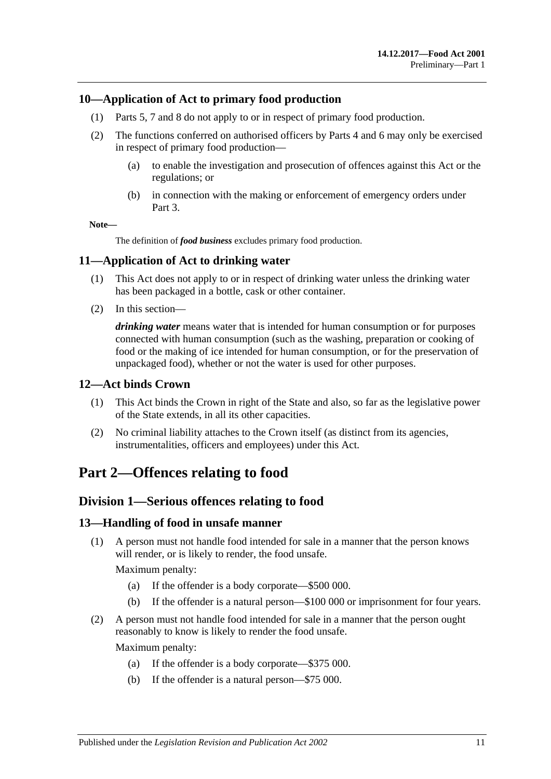## <span id="page-10-0"></span>**10—Application of Act to primary food production**

- (1) [Parts 5,](#page-25-0) [7](#page-35-1) and [8](#page-40-3) do not apply to or in respect of primary food production.
- (2) The functions conferred on authorised officers by [Parts 4](#page-20-1) and [6](#page-29-0) may only be exercised in respect of primary food production—
	- (a) to enable the investigation and prosecution of offences against this Act or the regulations; or
	- (b) in connection with the making or enforcement of emergency orders under [Part 3.](#page-18-0)

**Note—**

The definition of *food business* excludes primary food production.

## <span id="page-10-1"></span>**11—Application of Act to drinking water**

- (1) This Act does not apply to or in respect of drinking water unless the drinking water has been packaged in a bottle, cask or other container.
- (2) In this section—

*drinking water* means water that is intended for human consumption or for purposes connected with human consumption (such as the washing, preparation or cooking of food or the making of ice intended for human consumption, or for the preservation of unpackaged food), whether or not the water is used for other purposes.

## <span id="page-10-2"></span>**12—Act binds Crown**

- (1) This Act binds the Crown in right of the State and also, so far as the legislative power of the State extends, in all its other capacities.
- (2) No criminal liability attaches to the Crown itself (as distinct from its agencies, instrumentalities, officers and employees) under this Act.

# <span id="page-10-4"></span><span id="page-10-3"></span>**Part 2—Offences relating to food**

## **Division 1—Serious offences relating to food**

## <span id="page-10-5"></span>**13—Handling of food in unsafe manner**

(1) A person must not handle food intended for sale in a manner that the person knows will render, or is likely to render, the food unsafe.

Maximum penalty:

- (a) If the offender is a body corporate—\$500 000.
- (b) If the offender is a natural person—\$100 000 or imprisonment for four years.
- (2) A person must not handle food intended for sale in a manner that the person ought reasonably to know is likely to render the food unsafe.

Maximum penalty:

- (a) If the offender is a body corporate—\$375 000.
- (b) If the offender is a natural person—\$75 000.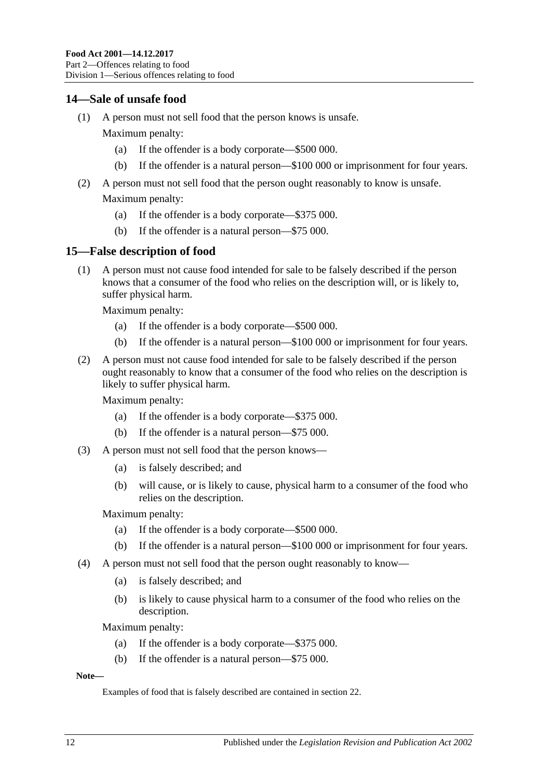## <span id="page-11-0"></span>**14—Sale of unsafe food**

(1) A person must not sell food that the person knows is unsafe.

Maximum penalty:

- (a) If the offender is a body corporate—\$500 000.
- (b) If the offender is a natural person—\$100 000 or imprisonment for four years.
- (2) A person must not sell food that the person ought reasonably to know is unsafe.

Maximum penalty:

- (a) If the offender is a body corporate—\$375 000.
- (b) If the offender is a natural person—\$75 000.

## <span id="page-11-1"></span>**15—False description of food**

(1) A person must not cause food intended for sale to be falsely described if the person knows that a consumer of the food who relies on the description will, or is likely to, suffer physical harm.

Maximum penalty:

- (a) If the offender is a body corporate—\$500 000.
- (b) If the offender is a natural person—\$100 000 or imprisonment for four years.
- (2) A person must not cause food intended for sale to be falsely described if the person ought reasonably to know that a consumer of the food who relies on the description is likely to suffer physical harm.

Maximum penalty:

- (a) If the offender is a body corporate—\$375 000.
- (b) If the offender is a natural person—\$75 000.
- <span id="page-11-2"></span>(3) A person must not sell food that the person knows—
	- (a) is falsely described; and
	- (b) will cause, or is likely to cause, physical harm to a consumer of the food who relies on the description.

Maximum penalty:

- (a) If the offender is a body corporate—\$500 000.
- (b) If the offender is a natural person—\$100 000 or imprisonment for four years.
- <span id="page-11-3"></span>(4) A person must not sell food that the person ought reasonably to know—
	- (a) is falsely described; and
	- (b) is likely to cause physical harm to a consumer of the food who relies on the description.

Maximum penalty:

- (a) If the offender is a body corporate—\$375 000.
- (b) If the offender is a natural person—\$75 000.

#### **Note—**

Examples of food that is falsely described are contained in [section](#page-14-0) 22.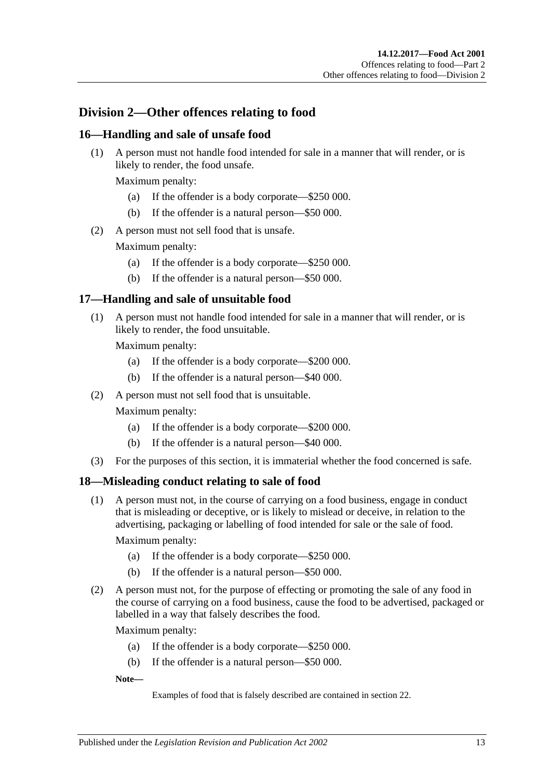# <span id="page-12-0"></span>**Division 2—Other offences relating to food**

#### <span id="page-12-6"></span><span id="page-12-1"></span>**16—Handling and sale of unsafe food**

(1) A person must not handle food intended for sale in a manner that will render, or is likely to render, the food unsafe.

Maximum penalty:

- (a) If the offender is a body corporate—\$250 000.
- (b) If the offender is a natural person—\$50 000.
- <span id="page-12-8"></span>(2) A person must not sell food that is unsafe.

Maximum penalty:

- (a) If the offender is a body corporate—\$250 000.
- (b) If the offender is a natural person—\$50 000.

#### <span id="page-12-7"></span><span id="page-12-2"></span>**17—Handling and sale of unsuitable food**

(1) A person must not handle food intended for sale in a manner that will render, or is likely to render, the food unsuitable.

Maximum penalty:

- (a) If the offender is a body corporate—\$200 000.
- (b) If the offender is a natural person—\$40 000.
- (2) A person must not sell food that is unsuitable.

Maximum penalty:

- (a) If the offender is a body corporate—\$200 000.
- (b) If the offender is a natural person—\$40 000.
- (3) For the purposes of this section, it is immaterial whether the food concerned is safe.

#### <span id="page-12-5"></span><span id="page-12-3"></span>**18—Misleading conduct relating to sale of food**

(1) A person must not, in the course of carrying on a food business, engage in conduct that is misleading or deceptive, or is likely to mislead or deceive, in relation to the advertising, packaging or labelling of food intended for sale or the sale of food.

Maximum penalty:

- (a) If the offender is a body corporate—\$250 000.
- (b) If the offender is a natural person—\$50 000.
- <span id="page-12-4"></span>(2) A person must not, for the purpose of effecting or promoting the sale of any food in the course of carrying on a food business, cause the food to be advertised, packaged or labelled in a way that falsely describes the food.

Maximum penalty:

- (a) If the offender is a body corporate—\$250 000.
- (b) If the offender is a natural person—\$50 000.

**Note—**

Examples of food that is falsely described are contained in [section](#page-14-0) 22.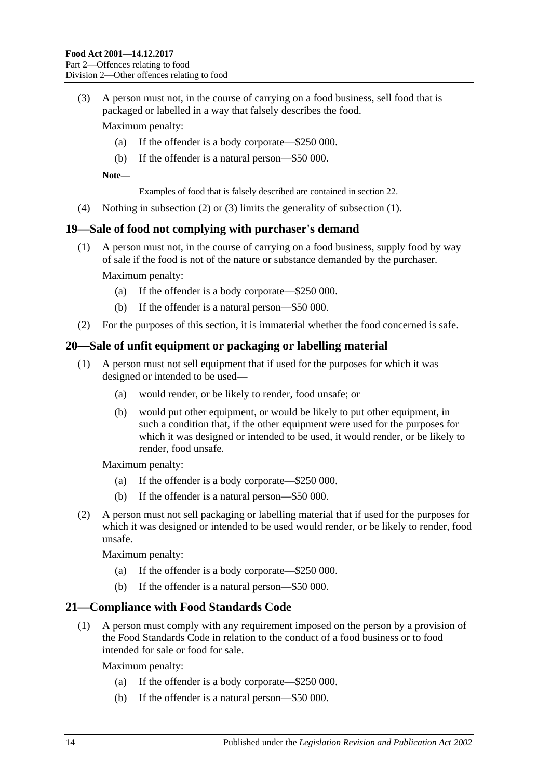<span id="page-13-3"></span>(3) A person must not, in the course of carrying on a food business, sell food that is packaged or labelled in a way that falsely describes the food.

Maximum penalty:

- (a) If the offender is a body corporate—\$250 000.
- (b) If the offender is a natural person—\$50 000.

**Note—**

Examples of food that is falsely described are contained in [section](#page-14-0) 22.

(4) Nothing in [subsection](#page-12-4) (2) or [\(3\)](#page-13-3) limits the generality of [subsection](#page-12-5) (1).

## <span id="page-13-0"></span>**19—Sale of food not complying with purchaser's demand**

(1) A person must not, in the course of carrying on a food business, supply food by way of sale if the food is not of the nature or substance demanded by the purchaser.

Maximum penalty:

- (a) If the offender is a body corporate—\$250 000.
- (b) If the offender is a natural person—\$50 000.
- (2) For the purposes of this section, it is immaterial whether the food concerned is safe.

## <span id="page-13-4"></span><span id="page-13-1"></span>**20—Sale of unfit equipment or packaging or labelling material**

- (1) A person must not sell equipment that if used for the purposes for which it was designed or intended to be used—
	- (a) would render, or be likely to render, food unsafe; or
	- (b) would put other equipment, or would be likely to put other equipment, in such a condition that, if the other equipment were used for the purposes for which it was designed or intended to be used, it would render, or be likely to render, food unsafe.

Maximum penalty:

- (a) If the offender is a body corporate—\$250 000.
- (b) If the offender is a natural person—\$50 000.
- <span id="page-13-5"></span>(2) A person must not sell packaging or labelling material that if used for the purposes for which it was designed or intended to be used would render, or be likely to render, food unsafe.

Maximum penalty:

- (a) If the offender is a body corporate—\$250 000.
- (b) If the offender is a natural person—\$50 000.

## <span id="page-13-2"></span>**21—Compliance with Food Standards Code**

(1) A person must comply with any requirement imposed on the person by a provision of the Food Standards Code in relation to the conduct of a food business or to food intended for sale or food for sale.

Maximum penalty:

- (a) If the offender is a body corporate—\$250 000.
- (b) If the offender is a natural person—\$50 000.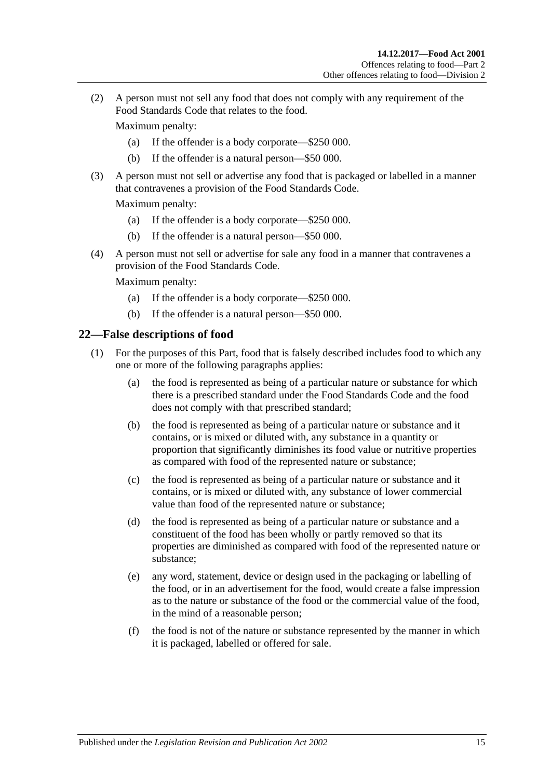(2) A person must not sell any food that does not comply with any requirement of the Food Standards Code that relates to the food.

Maximum penalty:

- (a) If the offender is a body corporate—\$250 000.
- (b) If the offender is a natural person—\$50 000.
- (3) A person must not sell or advertise any food that is packaged or labelled in a manner that contravenes a provision of the Food Standards Code.

Maximum penalty:

- (a) If the offender is a body corporate—\$250 000.
- (b) If the offender is a natural person—\$50 000.
- (4) A person must not sell or advertise for sale any food in a manner that contravenes a provision of the Food Standards Code.

Maximum penalty:

- (a) If the offender is a body corporate—\$250 000.
- (b) If the offender is a natural person—\$50 000.

#### <span id="page-14-1"></span><span id="page-14-0"></span>**22—False descriptions of food**

- (1) For the purposes of this Part, food that is falsely described includes food to which any one or more of the following paragraphs applies:
	- (a) the food is represented as being of a particular nature or substance for which there is a prescribed standard under the Food Standards Code and the food does not comply with that prescribed standard;
	- (b) the food is represented as being of a particular nature or substance and it contains, or is mixed or diluted with, any substance in a quantity or proportion that significantly diminishes its food value or nutritive properties as compared with food of the represented nature or substance;
	- (c) the food is represented as being of a particular nature or substance and it contains, or is mixed or diluted with, any substance of lower commercial value than food of the represented nature or substance;
	- (d) the food is represented as being of a particular nature or substance and a constituent of the food has been wholly or partly removed so that its properties are diminished as compared with food of the represented nature or substance;
	- (e) any word, statement, device or design used in the packaging or labelling of the food, or in an advertisement for the food, would create a false impression as to the nature or substance of the food or the commercial value of the food, in the mind of a reasonable person;
	- (f) the food is not of the nature or substance represented by the manner in which it is packaged, labelled or offered for sale.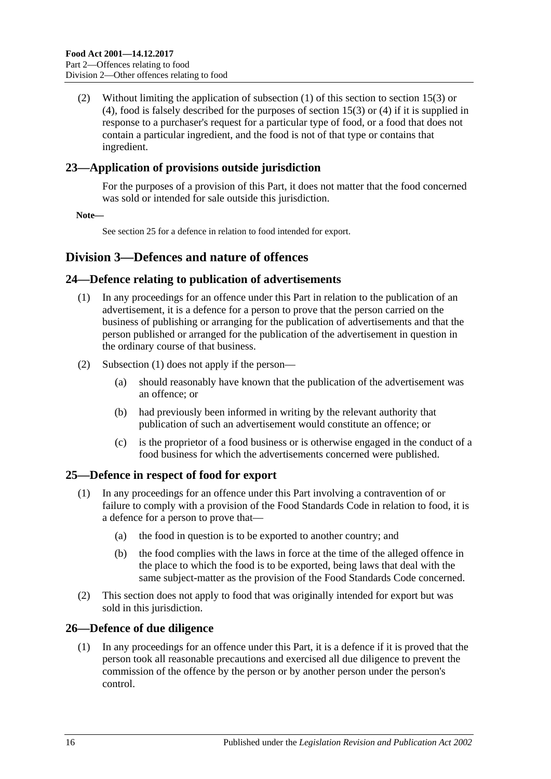(2) Without limiting the application of [subsection](#page-14-1) (1) of this section to [section](#page-11-2) 15(3) or [\(4\),](#page-11-3) food is falsely described for the purposes of [section](#page-11-2) 15(3) or [\(4\)](#page-11-3) if it is supplied in response to a purchaser's request for a particular type of food, or a food that does not contain a particular ingredient, and the food is not of that type or contains that ingredient.

## <span id="page-15-0"></span>**23—Application of provisions outside jurisdiction**

For the purposes of a provision of this Part, it does not matter that the food concerned was sold or intended for sale outside this jurisdiction.

**Note—**

Se[e section](#page-15-3) 25 for a defence in relation to food intended for export.

## <span id="page-15-1"></span>**Division 3—Defences and nature of offences**

## <span id="page-15-5"></span><span id="page-15-2"></span>**24—Defence relating to publication of advertisements**

- (1) In any proceedings for an offence under this Part in relation to the publication of an advertisement, it is a defence for a person to prove that the person carried on the business of publishing or arranging for the publication of advertisements and that the person published or arranged for the publication of the advertisement in question in the ordinary course of that business.
- (2) [Subsection](#page-15-5) (1) does not apply if the person—
	- (a) should reasonably have known that the publication of the advertisement was an offence; or
	- (b) had previously been informed in writing by the relevant authority that publication of such an advertisement would constitute an offence; or
	- (c) is the proprietor of a food business or is otherwise engaged in the conduct of a food business for which the advertisements concerned were published.

## <span id="page-15-3"></span>**25—Defence in respect of food for export**

- (1) In any proceedings for an offence under this Part involving a contravention of or failure to comply with a provision of the Food Standards Code in relation to food, it is a defence for a person to prove that—
	- (a) the food in question is to be exported to another country; and
	- (b) the food complies with the laws in force at the time of the alleged offence in the place to which the food is to be exported, being laws that deal with the same subject-matter as the provision of the Food Standards Code concerned.
- (2) This section does not apply to food that was originally intended for export but was sold in this jurisdiction.

## <span id="page-15-6"></span><span id="page-15-4"></span>**26—Defence of due diligence**

(1) In any proceedings for an offence under this Part, it is a defence if it is proved that the person took all reasonable precautions and exercised all due diligence to prevent the commission of the offence by the person or by another person under the person's control.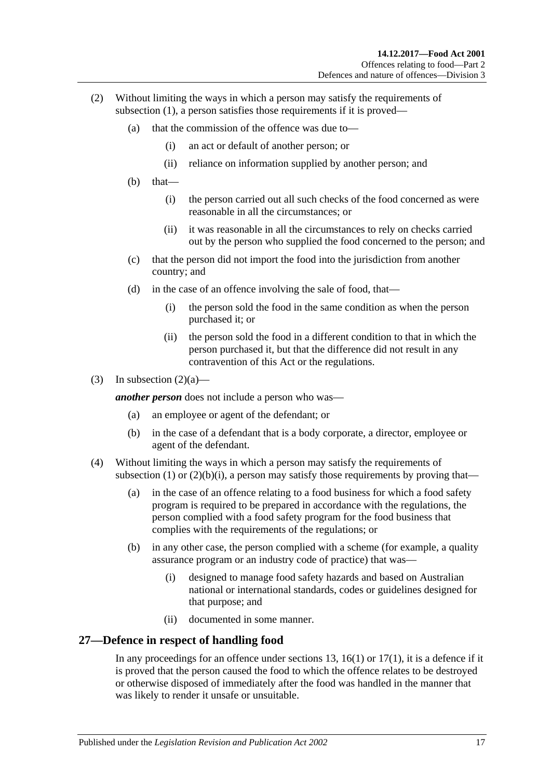- <span id="page-16-2"></span><span id="page-16-1"></span>(2) Without limiting the ways in which a person may satisfy the requirements of [subsection](#page-15-6) (1), a person satisfies those requirements if it is proved—
	- (a) that the commission of the offence was due to—
		- (i) an act or default of another person; or
		- (ii) reliance on information supplied by another person; and
	- (b) that—
		- (i) the person carried out all such checks of the food concerned as were reasonable in all the circumstances; or
		- (ii) it was reasonable in all the circumstances to rely on checks carried out by the person who supplied the food concerned to the person; and
	- (c) that the person did not import the food into the jurisdiction from another country; and
	- (d) in the case of an offence involving the sale of food, that—
		- (i) the person sold the food in the same condition as when the person purchased it; or
		- (ii) the person sold the food in a different condition to that in which the person purchased it, but that the difference did not result in any contravention of this Act or the regulations.
- (3) In [subsection](#page-16-1)  $(2)(a)$ —

*another person* does not include a person who was—

- (a) an employee or agent of the defendant; or
- (b) in the case of a defendant that is a body corporate, a director, employee or agent of the defendant.
- (4) Without limiting the ways in which a person may satisfy the requirements of [subsection](#page-15-6) (1) or [\(2\)\(b\)\(i\),](#page-16-2) a person may satisfy those requirements by proving that—
	- (a) in the case of an offence relating to a food business for which a food safety program is required to be prepared in accordance with the regulations, the person complied with a food safety program for the food business that complies with the requirements of the regulations; or
	- (b) in any other case, the person complied with a scheme (for example, a quality assurance program or an industry code of practice) that was—
		- (i) designed to manage food safety hazards and based on Australian national or international standards, codes or guidelines designed for that purpose; and
		- (ii) documented in some manner.

#### <span id="page-16-0"></span>**27—Defence in respect of handling food**

In any proceedings for an offence under [sections](#page-10-5) 13, [16\(1\)](#page-12-6) or  $17(1)$ , it is a defence if it is proved that the person caused the food to which the offence relates to be destroyed or otherwise disposed of immediately after the food was handled in the manner that was likely to render it unsafe or unsuitable.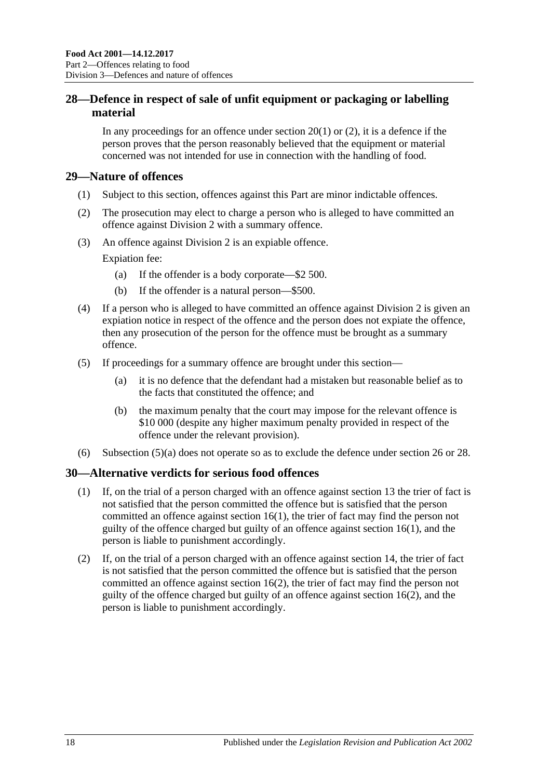## <span id="page-17-0"></span>**28—Defence in respect of sale of unfit equipment or packaging or labelling material**

In any proceedings for an offence under [section](#page-13-4)  $20(1)$  or  $(2)$ , it is a defence if the person proves that the person reasonably believed that the equipment or material concerned was not intended for use in connection with the handling of food.

## <span id="page-17-1"></span>**29—Nature of offences**

- (1) Subject to this section, offences against this Part are minor indictable offences.
- (2) The prosecution may elect to charge a person who is alleged to have committed an offence against [Division 2](#page-12-0) with a summary offence.
- (3) An offence against [Division 2](#page-12-0) is an expiable offence.

Expiation fee:

- (a) If the offender is a body corporate—\$2 500.
- (b) If the offender is a natural person—\$500.
- (4) If a person who is alleged to have committed an offence against [Division 2](#page-12-0) is given an expiation notice in respect of the offence and the person does not expiate the offence, then any prosecution of the person for the offence must be brought as a summary offence.
- <span id="page-17-3"></span>(5) If proceedings for a summary offence are brought under this section—
	- (a) it is no defence that the defendant had a mistaken but reasonable belief as to the facts that constituted the offence; and
	- (b) the maximum penalty that the court may impose for the relevant offence is \$10 000 (despite any higher maximum penalty provided in respect of the offence under the relevant provision).
- (6) [Subsection](#page-17-3) (5)(a) does not operate so as to exclude the defence under [section](#page-15-4) 26 or [28.](#page-17-0)

## <span id="page-17-2"></span>**30—Alternative verdicts for serious food offences**

- (1) If, on the trial of a person charged with an offence against [section](#page-10-5) 13 the trier of fact is not satisfied that the person committed the offence but is satisfied that the person committed an offence against [section](#page-12-6) 16(1), the trier of fact may find the person not guilty of the offence charged but guilty of an offence against [section](#page-12-6) 16(1), and the person is liable to punishment accordingly.
- (2) If, on the trial of a person charged with an offence against [section](#page-11-0) 14, the trier of fact is not satisfied that the person committed the offence but is satisfied that the person committed an offence against [section](#page-12-8) 16(2), the trier of fact may find the person not guilty of the offence charged but guilty of an offence against [section](#page-12-8) 16(2), and the person is liable to punishment accordingly.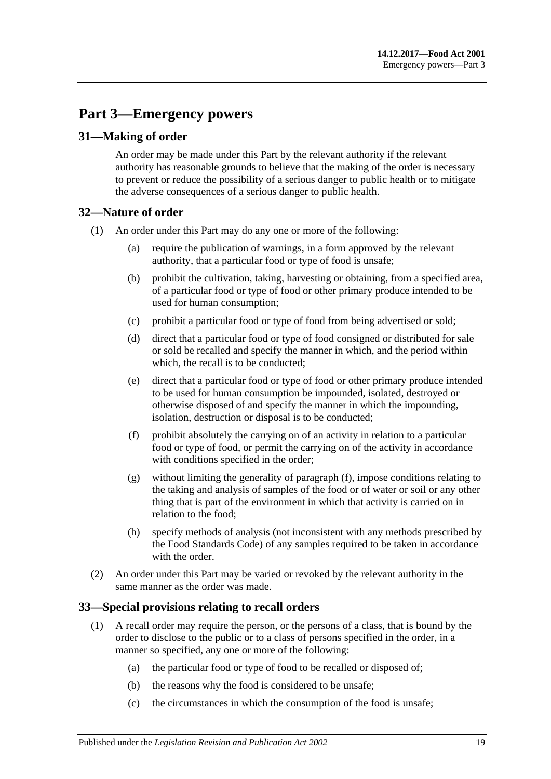# <span id="page-18-0"></span>**Part 3—Emergency powers**

## <span id="page-18-1"></span>**31—Making of order**

An order may be made under this Part by the relevant authority if the relevant authority has reasonable grounds to believe that the making of the order is necessary to prevent or reduce the possibility of a serious danger to public health or to mitigate the adverse consequences of a serious danger to public health.

## <span id="page-18-2"></span>**32—Nature of order**

- (1) An order under this Part may do any one or more of the following:
	- (a) require the publication of warnings, in a form approved by the relevant authority, that a particular food or type of food is unsafe;
	- (b) prohibit the cultivation, taking, harvesting or obtaining, from a specified area, of a particular food or type of food or other primary produce intended to be used for human consumption;
	- (c) prohibit a particular food or type of food from being advertised or sold;
	- (d) direct that a particular food or type of food consigned or distributed for sale or sold be recalled and specify the manner in which, and the period within which, the recall is to be conducted;
	- (e) direct that a particular food or type of food or other primary produce intended to be used for human consumption be impounded, isolated, destroyed or otherwise disposed of and specify the manner in which the impounding, isolation, destruction or disposal is to be conducted;
	- (f) prohibit absolutely the carrying on of an activity in relation to a particular food or type of food, or permit the carrying on of the activity in accordance with conditions specified in the order;
	- (g) without limiting the generality of [paragraph](#page-18-4) (f), impose conditions relating to the taking and analysis of samples of the food or of water or soil or any other thing that is part of the environment in which that activity is carried on in relation to the food;
	- (h) specify methods of analysis (not inconsistent with any methods prescribed by the Food Standards Code) of any samples required to be taken in accordance with the order
- <span id="page-18-4"></span>(2) An order under this Part may be varied or revoked by the relevant authority in the same manner as the order was made.

## <span id="page-18-3"></span>**33—Special provisions relating to recall orders**

- (1) A recall order may require the person, or the persons of a class, that is bound by the order to disclose to the public or to a class of persons specified in the order, in a manner so specified, any one or more of the following:
	- (a) the particular food or type of food to be recalled or disposed of;
	- (b) the reasons why the food is considered to be unsafe;
	- (c) the circumstances in which the consumption of the food is unsafe;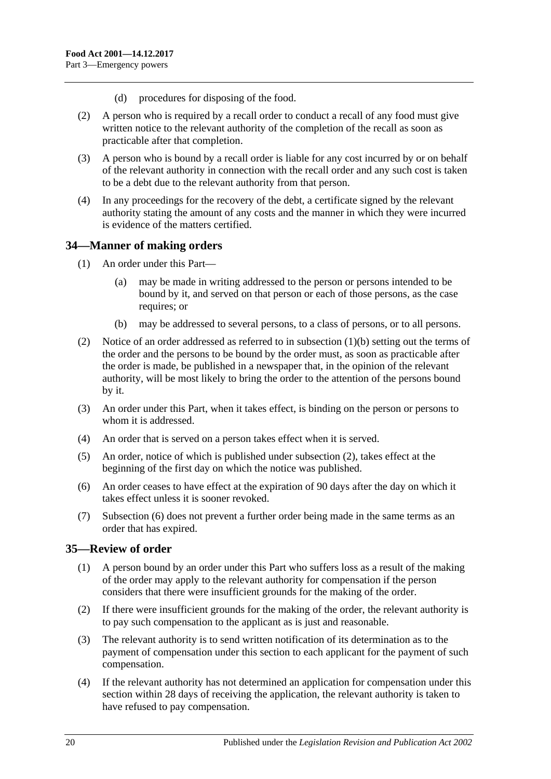- (d) procedures for disposing of the food.
- (2) A person who is required by a recall order to conduct a recall of any food must give written notice to the relevant authority of the completion of the recall as soon as practicable after that completion.
- (3) A person who is bound by a recall order is liable for any cost incurred by or on behalf of the relevant authority in connection with the recall order and any such cost is taken to be a debt due to the relevant authority from that person.
- (4) In any proceedings for the recovery of the debt, a certificate signed by the relevant authority stating the amount of any costs and the manner in which they were incurred is evidence of the matters certified.

## <span id="page-19-0"></span>**34—Manner of making orders**

- (1) An order under this Part—
	- (a) may be made in writing addressed to the person or persons intended to be bound by it, and served on that person or each of those persons, as the case requires; or
	- (b) may be addressed to several persons, to a class of persons, or to all persons.
- <span id="page-19-3"></span><span id="page-19-2"></span>(2) Notice of an order addressed as referred to in [subsection](#page-19-2) (1)(b) setting out the terms of the order and the persons to be bound by the order must, as soon as practicable after the order is made, be published in a newspaper that, in the opinion of the relevant authority, will be most likely to bring the order to the attention of the persons bound by it.
- (3) An order under this Part, when it takes effect, is binding on the person or persons to whom it is addressed.
- (4) An order that is served on a person takes effect when it is served.
- (5) An order, notice of which is published under [subsection](#page-19-3) (2), takes effect at the beginning of the first day on which the notice was published.
- <span id="page-19-4"></span>(6) An order ceases to have effect at the expiration of 90 days after the day on which it takes effect unless it is sooner revoked.
- (7) [Subsection](#page-19-4) (6) does not prevent a further order being made in the same terms as an order that has expired.

## <span id="page-19-1"></span>**35—Review of order**

- (1) A person bound by an order under this Part who suffers loss as a result of the making of the order may apply to the relevant authority for compensation if the person considers that there were insufficient grounds for the making of the order.
- (2) If there were insufficient grounds for the making of the order, the relevant authority is to pay such compensation to the applicant as is just and reasonable.
- (3) The relevant authority is to send written notification of its determination as to the payment of compensation under this section to each applicant for the payment of such compensation.
- <span id="page-19-5"></span>(4) If the relevant authority has not determined an application for compensation under this section within 28 days of receiving the application, the relevant authority is taken to have refused to pay compensation.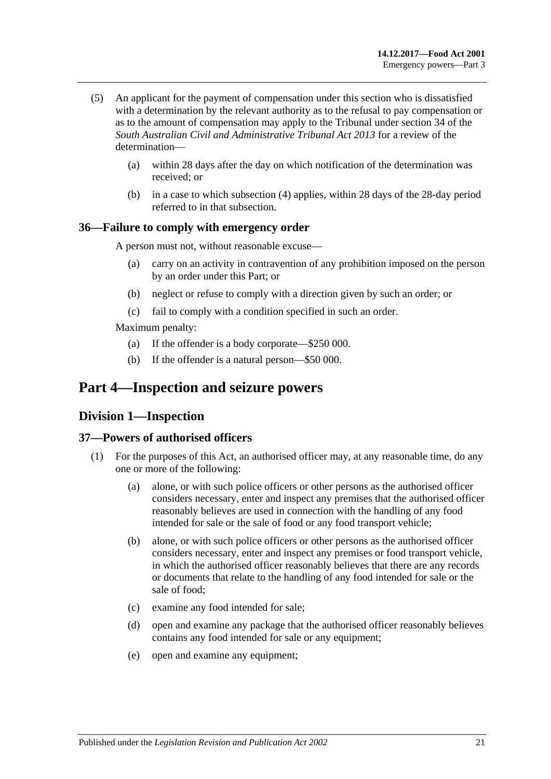- (5) An applicant for the payment of compensation under this section who is dissatisfied with a determination by the relevant authority as to the refusal to pay compensation or as to the amount of compensation may apply to the Tribunal under section 34 of the *[South Australian Civil and Administrative Tribunal Act](http://www.legislation.sa.gov.au/index.aspx?action=legref&type=act&legtitle=South%20Australian%20Civil%20and%20Administrative%20Tribunal%20Act%202013) 2013* for a review of the determination—
	- (a) within 28 days after the day on which notification of the determination was received; or
	- (b) in a case to which [subsection](#page-19-5) (4) applies, within 28 days of the 28-day period referred to in that subsection.

## <span id="page-20-0"></span>**36—Failure to comply with emergency order**

A person must not, without reasonable excuse—

- (a) carry on an activity in contravention of any prohibition imposed on the person by an order under this Part; or
- (b) neglect or refuse to comply with a direction given by such an order; or
- (c) fail to comply with a condition specified in such an order.

Maximum penalty:

- (a) If the offender is a body corporate—\$250 000.
- (b) If the offender is a natural person—\$50 000.

# <span id="page-20-2"></span><span id="page-20-1"></span>**Part 4—Inspection and seizure powers**

## **Division 1—Inspection**

#### <span id="page-20-5"></span><span id="page-20-3"></span>**37—Powers of authorised officers**

- <span id="page-20-4"></span>(1) For the purposes of this Act, an authorised officer may, at any reasonable time, do any one or more of the following:
	- (a) alone, or with such police officers or other persons as the authorised officer considers necessary, enter and inspect any premises that the authorised officer reasonably believes are used in connection with the handling of any food intended for sale or the sale of food or any food transport vehicle;
	- (b) alone, or with such police officers or other persons as the authorised officer considers necessary, enter and inspect any premises or food transport vehicle, in which the authorised officer reasonably believes that there are any records or documents that relate to the handling of any food intended for sale or the sale of food;
	- (c) examine any food intended for sale;
	- (d) open and examine any package that the authorised officer reasonably believes contains any food intended for sale or any equipment;
	- (e) open and examine any equipment;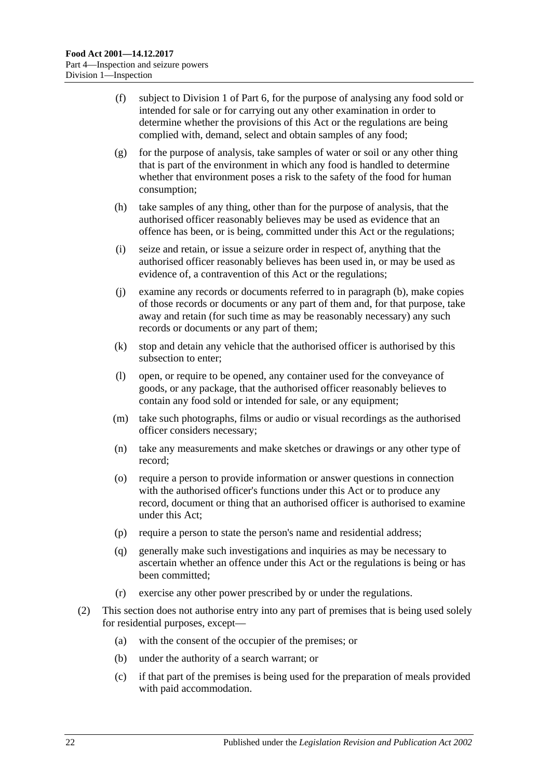- (f) subject to [Division 1](#page-29-1) of [Part 6,](#page-29-0) for the purpose of analysing any food sold or intended for sale or for carrying out any other examination in order to determine whether the provisions of this Act or the regulations are being complied with, demand, select and obtain samples of any food;
- (g) for the purpose of analysis, take samples of water or soil or any other thing that is part of the environment in which any food is handled to determine whether that environment poses a risk to the safety of the food for human consumption;
- (h) take samples of any thing, other than for the purpose of analysis, that the authorised officer reasonably believes may be used as evidence that an offence has been, or is being, committed under this Act or the regulations;
- (i) seize and retain, or issue a seizure order in respect of, anything that the authorised officer reasonably believes has been used in, or may be used as evidence of, a contravention of this Act or the regulations;
- (j) examine any records or documents referred to in [paragraph](#page-20-4) (b), make copies of those records or documents or any part of them and, for that purpose, take away and retain (for such time as may be reasonably necessary) any such records or documents or any part of them;
- (k) stop and detain any vehicle that the authorised officer is authorised by this subsection to enter;
- (l) open, or require to be opened, any container used for the conveyance of goods, or any package, that the authorised officer reasonably believes to contain any food sold or intended for sale, or any equipment;
- (m) take such photographs, films or audio or visual recordings as the authorised officer considers necessary;
- (n) take any measurements and make sketches or drawings or any other type of record;
- (o) require a person to provide information or answer questions in connection with the authorised officer's functions under this Act or to produce any record, document or thing that an authorised officer is authorised to examine under this Act;
- (p) require a person to state the person's name and residential address;
- (q) generally make such investigations and inquiries as may be necessary to ascertain whether an offence under this Act or the regulations is being or has been committed;
- (r) exercise any other power prescribed by or under the regulations.
- (2) This section does not authorise entry into any part of premises that is being used solely for residential purposes, except—
	- (a) with the consent of the occupier of the premises; or
	- (b) under the authority of a search warrant; or
	- (c) if that part of the premises is being used for the preparation of meals provided with paid accommodation.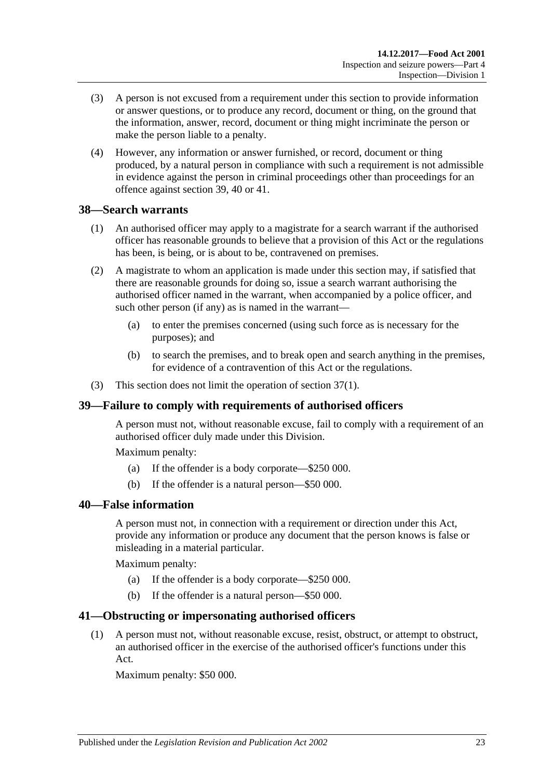- (3) A person is not excused from a requirement under this section to provide information or answer questions, or to produce any record, document or thing, on the ground that the information, answer, record, document or thing might incriminate the person or make the person liable to a penalty.
- (4) However, any information or answer furnished, or record, document or thing produced, by a natural person in compliance with such a requirement is not admissible in evidence against the person in criminal proceedings other than proceedings for an offence against [section](#page-22-1) 39, [40](#page-22-2) or [41.](#page-22-3)

## <span id="page-22-0"></span>**38—Search warrants**

- (1) An authorised officer may apply to a magistrate for a search warrant if the authorised officer has reasonable grounds to believe that a provision of this Act or the regulations has been, is being, or is about to be, contravened on premises.
- (2) A magistrate to whom an application is made under this section may, if satisfied that there are reasonable grounds for doing so, issue a search warrant authorising the authorised officer named in the warrant, when accompanied by a police officer, and such other person (if any) as is named in the warrant—
	- (a) to enter the premises concerned (using such force as is necessary for the purposes); and
	- (b) to search the premises, and to break open and search anything in the premises, for evidence of a contravention of this Act or the regulations.
- (3) This section does not limit the operation of [section](#page-20-5) 37(1).

## <span id="page-22-1"></span>**39—Failure to comply with requirements of authorised officers**

A person must not, without reasonable excuse, fail to comply with a requirement of an authorised officer duly made under this Division.

Maximum penalty:

- (a) If the offender is a body corporate—\$250 000.
- (b) If the offender is a natural person—\$50 000.

### <span id="page-22-2"></span>**40—False information**

A person must not, in connection with a requirement or direction under this Act, provide any information or produce any document that the person knows is false or misleading in a material particular.

Maximum penalty:

- (a) If the offender is a body corporate—\$250 000.
- (b) If the offender is a natural person—\$50 000.

#### <span id="page-22-3"></span>**41—Obstructing or impersonating authorised officers**

(1) A person must not, without reasonable excuse, resist, obstruct, or attempt to obstruct, an authorised officer in the exercise of the authorised officer's functions under this Act.

Maximum penalty: \$50 000.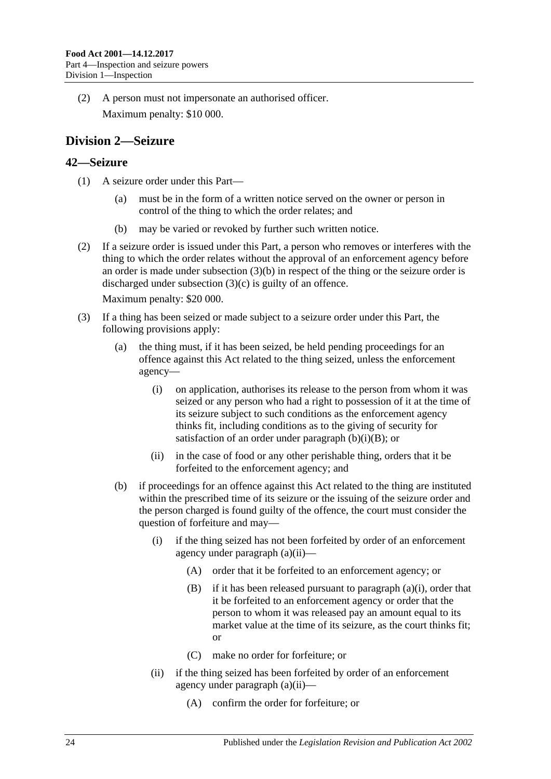(2) A person must not impersonate an authorised officer. Maximum penalty: \$10 000.

# <span id="page-23-0"></span>**Division 2—Seizure**

## <span id="page-23-1"></span>**42—Seizure**

- (1) A seizure order under this Part—
	- (a) must be in the form of a written notice served on the owner or person in control of the thing to which the order relates; and
	- (b) may be varied or revoked by further such written notice.
- (2) If a seizure order is issued under this Part, a person who removes or interferes with the thing to which the order relates without the approval of an enforcement agency before an order is made under [subsection](#page-23-2) (3)(b) in respect of the thing or the seizure order is discharged under [subsection](#page-24-0) (3)(c) is guilty of an offence.

Maximum penalty: \$20 000.

- <span id="page-23-7"></span><span id="page-23-6"></span><span id="page-23-5"></span><span id="page-23-4"></span><span id="page-23-3"></span><span id="page-23-2"></span>(3) If a thing has been seized or made subject to a seizure order under this Part, the following provisions apply:
	- (a) the thing must, if it has been seized, be held pending proceedings for an offence against this Act related to the thing seized, unless the enforcement agency—
		- (i) on application, authorises its release to the person from whom it was seized or any person who had a right to possession of it at the time of its seizure subject to such conditions as the enforcement agency thinks fit, including conditions as to the giving of security for satisfaction of an order under [paragraph](#page-23-3)  $(b)(i)(B)$ ; or
		- (ii) in the case of food or any other perishable thing, orders that it be forfeited to the enforcement agency; and
	- (b) if proceedings for an offence against this Act related to the thing are instituted within the prescribed time of its seizure or the issuing of the seizure order and the person charged is found guilty of the offence, the court must consider the question of forfeiture and may—
		- (i) if the thing seized has not been forfeited by order of an enforcement agency under [paragraph](#page-23-4) (a)(ii)—
			- (A) order that it be forfeited to an enforcement agency; or
			- (B) if it has been released pursuant to [paragraph](#page-23-5) (a)(i), order that it be forfeited to an enforcement agency or order that the person to whom it was released pay an amount equal to its market value at the time of its seizure, as the court thinks fit; or
			- (C) make no order for forfeiture; or
		- (ii) if the thing seized has been forfeited by order of an enforcement agency under [paragraph](#page-23-4) (a)(ii)—
			- (A) confirm the order for forfeiture; or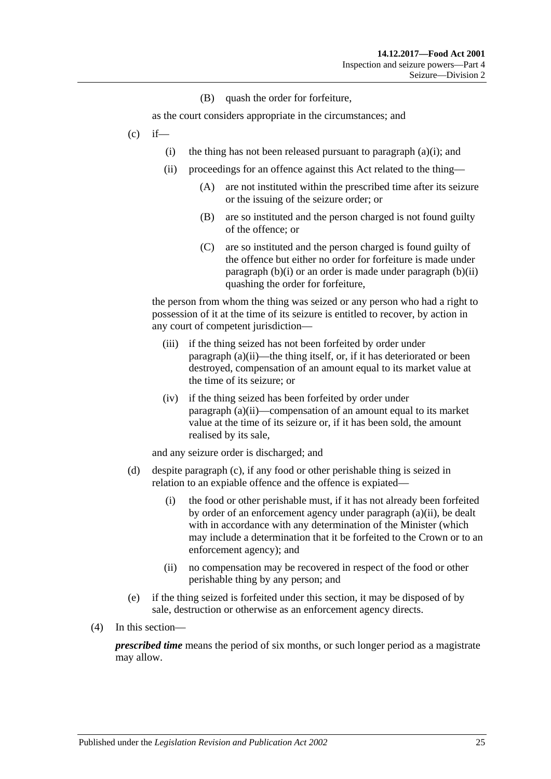(B) quash the order for forfeiture,

as the court considers appropriate in the circumstances; and

- <span id="page-24-0"></span> $(c)$  if
	- (i) the thing has not been released pursuant to [paragraph](#page-23-5)  $(a)(i)$ ; and
	- (ii) proceedings for an offence against this Act related to the thing—
		- (A) are not instituted within the prescribed time after its seizure or the issuing of the seizure order; or
		- (B) are so instituted and the person charged is not found guilty of the offence; or
		- (C) are so instituted and the person charged is found guilty of the offence but either no order for forfeiture is made under [paragraph](#page-23-6)  $(b)(i)$  or an order is made under [paragraph](#page-23-7)  $(b)(ii)$ quashing the order for forfeiture,

the person from whom the thing was seized or any person who had a right to possession of it at the time of its seizure is entitled to recover, by action in any court of competent jurisdiction—

- (iii) if the thing seized has not been forfeited by order under [paragraph](#page-23-4) (a)(ii)—the thing itself, or, if it has deteriorated or been destroyed, compensation of an amount equal to its market value at the time of its seizure; or
- (iv) if the thing seized has been forfeited by order under [paragraph](#page-23-4) (a)(ii)—compensation of an amount equal to its market value at the time of its seizure or, if it has been sold, the amount realised by its sale,

and any seizure order is discharged; and

- (d) despite [paragraph](#page-24-0) (c), if any food or other perishable thing is seized in relation to an expiable offence and the offence is expiated—
	- (i) the food or other perishable must, if it has not already been forfeited by order of an enforcement agency under [paragraph](#page-23-4) (a)(ii), be dealt with in accordance with any determination of the Minister (which may include a determination that it be forfeited to the Crown or to an enforcement agency); and
	- (ii) no compensation may be recovered in respect of the food or other perishable thing by any person; and
- (e) if the thing seized is forfeited under this section, it may be disposed of by sale, destruction or otherwise as an enforcement agency directs.
- (4) In this section—

*prescribed time* means the period of six months, or such longer period as a magistrate may allow.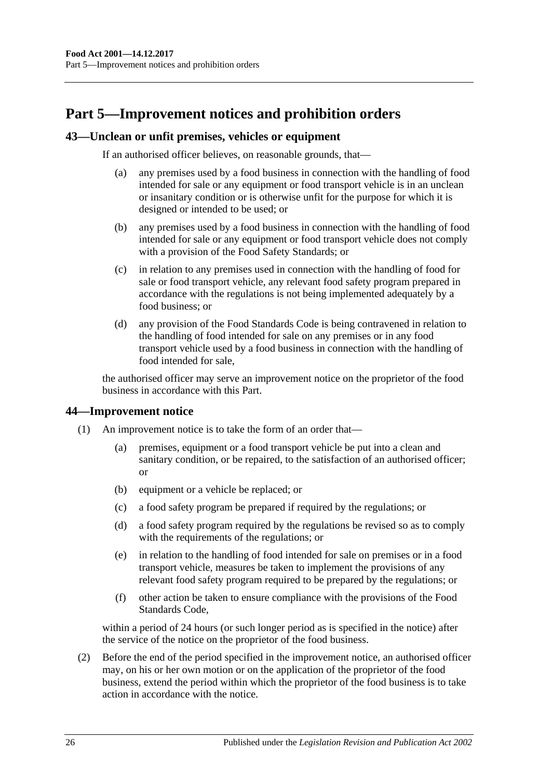# <span id="page-25-0"></span>**Part 5—Improvement notices and prohibition orders**

### <span id="page-25-1"></span>**43—Unclean or unfit premises, vehicles or equipment**

If an authorised officer believes, on reasonable grounds, that—

- (a) any premises used by a food business in connection with the handling of food intended for sale or any equipment or food transport vehicle is in an unclean or insanitary condition or is otherwise unfit for the purpose for which it is designed or intended to be used; or
- (b) any premises used by a food business in connection with the handling of food intended for sale or any equipment or food transport vehicle does not comply with a provision of the Food Safety Standards; or
- (c) in relation to any premises used in connection with the handling of food for sale or food transport vehicle, any relevant food safety program prepared in accordance with the regulations is not being implemented adequately by a food business; or
- (d) any provision of the Food Standards Code is being contravened in relation to the handling of food intended for sale on any premises or in any food transport vehicle used by a food business in connection with the handling of food intended for sale,

the authorised officer may serve an improvement notice on the proprietor of the food business in accordance with this Part.

#### <span id="page-25-2"></span>**44—Improvement notice**

- (1) An improvement notice is to take the form of an order that—
	- (a) premises, equipment or a food transport vehicle be put into a clean and sanitary condition, or be repaired, to the satisfaction of an authorised officer; or
	- (b) equipment or a vehicle be replaced; or
	- (c) a food safety program be prepared if required by the regulations; or
	- (d) a food safety program required by the regulations be revised so as to comply with the requirements of the regulations; or
	- (e) in relation to the handling of food intended for sale on premises or in a food transport vehicle, measures be taken to implement the provisions of any relevant food safety program required to be prepared by the regulations; or
	- (f) other action be taken to ensure compliance with the provisions of the Food Standards Code,

within a period of 24 hours (or such longer period as is specified in the notice) after the service of the notice on the proprietor of the food business.

(2) Before the end of the period specified in the improvement notice, an authorised officer may, on his or her own motion or on the application of the proprietor of the food business, extend the period within which the proprietor of the food business is to take action in accordance with the notice.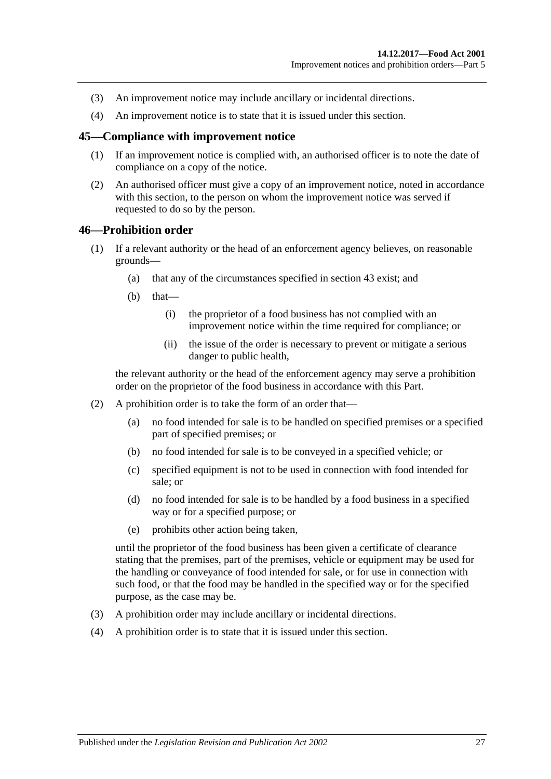- (3) An improvement notice may include ancillary or incidental directions.
- (4) An improvement notice is to state that it is issued under this section.

#### <span id="page-26-0"></span>**45—Compliance with improvement notice**

- (1) If an improvement notice is complied with, an authorised officer is to note the date of compliance on a copy of the notice.
- (2) An authorised officer must give a copy of an improvement notice, noted in accordance with this section, to the person on whom the improvement notice was served if requested to do so by the person.

#### <span id="page-26-1"></span>**46—Prohibition order**

- (1) If a relevant authority or the head of an enforcement agency believes, on reasonable grounds—
	- (a) that any of the circumstances specified in [section](#page-25-1) 43 exist; and
	- $(b)$  that—
		- (i) the proprietor of a food business has not complied with an improvement notice within the time required for compliance; or
		- (ii) the issue of the order is necessary to prevent or mitigate a serious danger to public health,

the relevant authority or the head of the enforcement agency may serve a prohibition order on the proprietor of the food business in accordance with this Part.

- (2) A prohibition order is to take the form of an order that—
	- (a) no food intended for sale is to be handled on specified premises or a specified part of specified premises; or
	- (b) no food intended for sale is to be conveyed in a specified vehicle; or
	- (c) specified equipment is not to be used in connection with food intended for sale; or
	- (d) no food intended for sale is to be handled by a food business in a specified way or for a specified purpose; or
	- (e) prohibits other action being taken,

until the proprietor of the food business has been given a certificate of clearance stating that the premises, part of the premises, vehicle or equipment may be used for the handling or conveyance of food intended for sale, or for use in connection with such food, or that the food may be handled in the specified way or for the specified purpose, as the case may be.

- (3) A prohibition order may include ancillary or incidental directions.
- (4) A prohibition order is to state that it is issued under this section.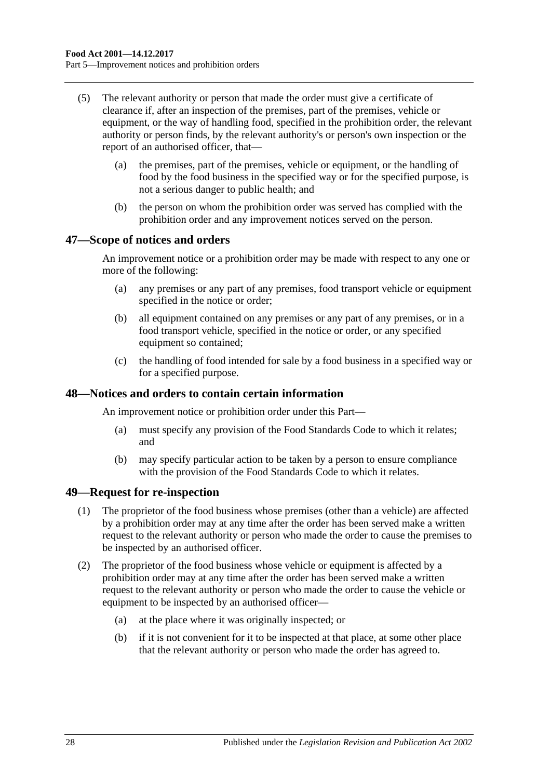- (5) The relevant authority or person that made the order must give a certificate of clearance if, after an inspection of the premises, part of the premises, vehicle or equipment, or the way of handling food, specified in the prohibition order, the relevant authority or person finds, by the relevant authority's or person's own inspection or the report of an authorised officer, that—
	- (a) the premises, part of the premises, vehicle or equipment, or the handling of food by the food business in the specified way or for the specified purpose, is not a serious danger to public health; and
	- (b) the person on whom the prohibition order was served has complied with the prohibition order and any improvement notices served on the person.

#### <span id="page-27-0"></span>**47—Scope of notices and orders**

An improvement notice or a prohibition order may be made with respect to any one or more of the following:

- (a) any premises or any part of any premises, food transport vehicle or equipment specified in the notice or order;
- (b) all equipment contained on any premises or any part of any premises, or in a food transport vehicle, specified in the notice or order, or any specified equipment so contained:
- (c) the handling of food intended for sale by a food business in a specified way or for a specified purpose.

#### <span id="page-27-1"></span>**48—Notices and orders to contain certain information**

An improvement notice or prohibition order under this Part—

- (a) must specify any provision of the Food Standards Code to which it relates; and
- (b) may specify particular action to be taken by a person to ensure compliance with the provision of the Food Standards Code to which it relates.

#### <span id="page-27-2"></span>**49—Request for re-inspection**

- (1) The proprietor of the food business whose premises (other than a vehicle) are affected by a prohibition order may at any time after the order has been served make a written request to the relevant authority or person who made the order to cause the premises to be inspected by an authorised officer.
- (2) The proprietor of the food business whose vehicle or equipment is affected by a prohibition order may at any time after the order has been served make a written request to the relevant authority or person who made the order to cause the vehicle or equipment to be inspected by an authorised officer—
	- (a) at the place where it was originally inspected; or
	- (b) if it is not convenient for it to be inspected at that place, at some other place that the relevant authority or person who made the order has agreed to.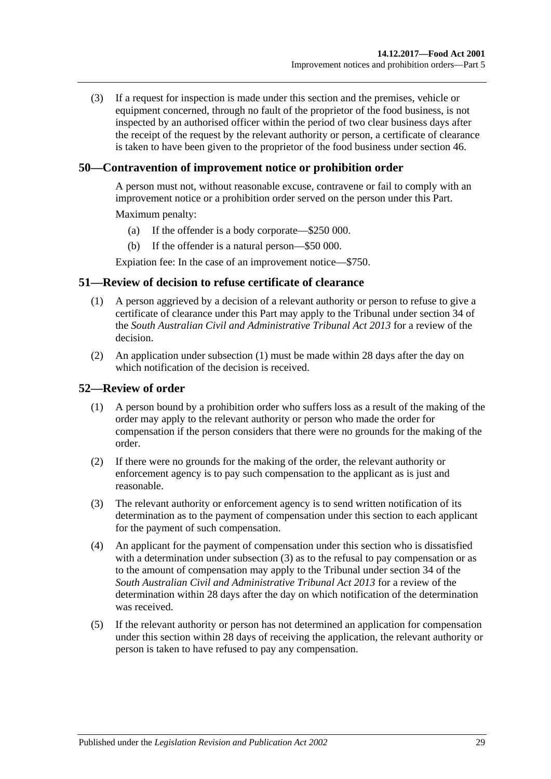(3) If a request for inspection is made under this section and the premises, vehicle or equipment concerned, through no fault of the proprietor of the food business, is not inspected by an authorised officer within the period of two clear business days after the receipt of the request by the relevant authority or person, a certificate of clearance is taken to have been given to the proprietor of the food business under [section](#page-26-1) 46.

## <span id="page-28-0"></span>**50—Contravention of improvement notice or prohibition order**

A person must not, without reasonable excuse, contravene or fail to comply with an improvement notice or a prohibition order served on the person under this Part.

Maximum penalty:

- (a) If the offender is a body corporate—\$250 000.
- (b) If the offender is a natural person—\$50 000.

Expiation fee: In the case of an improvement notice—\$750.

### <span id="page-28-3"></span><span id="page-28-1"></span>**51—Review of decision to refuse certificate of clearance**

- (1) A person aggrieved by a decision of a relevant authority or person to refuse to give a certificate of clearance under this Part may apply to the Tribunal under section 34 of the *[South Australian Civil and Administrative Tribunal Act](http://www.legislation.sa.gov.au/index.aspx?action=legref&type=act&legtitle=South%20Australian%20Civil%20and%20Administrative%20Tribunal%20Act%202013) 2013* for a review of the decision.
- (2) An application under [subsection](#page-28-3) (1) must be made within 28 days after the day on which notification of the decision is received.

#### <span id="page-28-2"></span>**52—Review of order**

- (1) A person bound by a prohibition order who suffers loss as a result of the making of the order may apply to the relevant authority or person who made the order for compensation if the person considers that there were no grounds for the making of the order.
- (2) If there were no grounds for the making of the order, the relevant authority or enforcement agency is to pay such compensation to the applicant as is just and reasonable.
- <span id="page-28-4"></span>(3) The relevant authority or enforcement agency is to send written notification of its determination as to the payment of compensation under this section to each applicant for the payment of such compensation.
- (4) An applicant for the payment of compensation under this section who is dissatisfied with a determination under [subsection](#page-28-4) (3) as to the refusal to pay compensation or as to the amount of compensation may apply to the Tribunal under section 34 of the *[South Australian Civil and Administrative Tribunal Act](http://www.legislation.sa.gov.au/index.aspx?action=legref&type=act&legtitle=South%20Australian%20Civil%20and%20Administrative%20Tribunal%20Act%202013) 2013* for a review of the determination within 28 days after the day on which notification of the determination was received.
- (5) If the relevant authority or person has not determined an application for compensation under this section within 28 days of receiving the application, the relevant authority or person is taken to have refused to pay any compensation.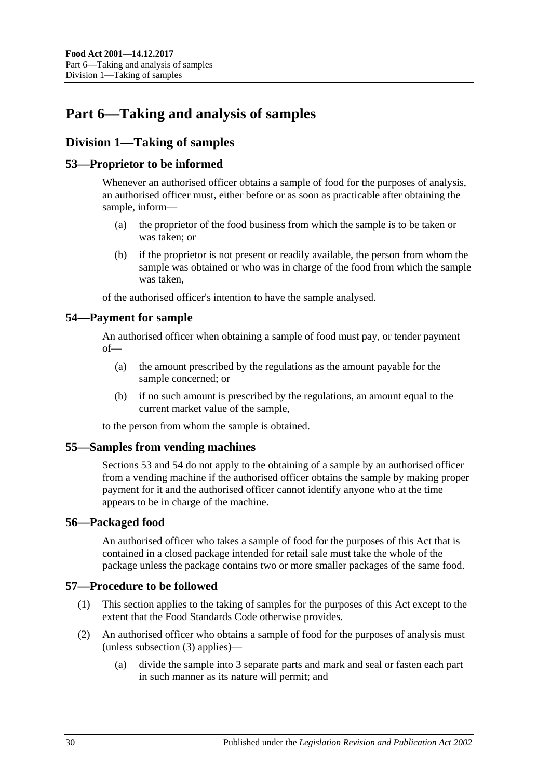# <span id="page-29-0"></span>**Part 6—Taking and analysis of samples**

## <span id="page-29-1"></span>**Division 1—Taking of samples**

## <span id="page-29-2"></span>**53—Proprietor to be informed**

Whenever an authorised officer obtains a sample of food for the purposes of analysis, an authorised officer must, either before or as soon as practicable after obtaining the sample, inform—

- (a) the proprietor of the food business from which the sample is to be taken or was taken; or
- (b) if the proprietor is not present or readily available, the person from whom the sample was obtained or who was in charge of the food from which the sample was taken,

of the authorised officer's intention to have the sample analysed.

## <span id="page-29-3"></span>**54—Payment for sample**

An authorised officer when obtaining a sample of food must pay, or tender payment of—

- (a) the amount prescribed by the regulations as the amount payable for the sample concerned; or
- (b) if no such amount is prescribed by the regulations, an amount equal to the current market value of the sample,

to the person from whom the sample is obtained.

## <span id="page-29-4"></span>**55—Samples from vending machines**

[Sections](#page-29-2) 53 and [54](#page-29-3) do not apply to the obtaining of a sample by an authorised officer from a vending machine if the authorised officer obtains the sample by making proper payment for it and the authorised officer cannot identify anyone who at the time appears to be in charge of the machine.

#### <span id="page-29-5"></span>**56—Packaged food**

An authorised officer who takes a sample of food for the purposes of this Act that is contained in a closed package intended for retail sale must take the whole of the package unless the package contains two or more smaller packages of the same food.

## <span id="page-29-6"></span>**57—Procedure to be followed**

- (1) This section applies to the taking of samples for the purposes of this Act except to the extent that the Food Standards Code otherwise provides.
- <span id="page-29-7"></span>(2) An authorised officer who obtains a sample of food for the purposes of analysis must (unless [subsection](#page-30-4) (3) applies)—
	- (a) divide the sample into 3 separate parts and mark and seal or fasten each part in such manner as its nature will permit; and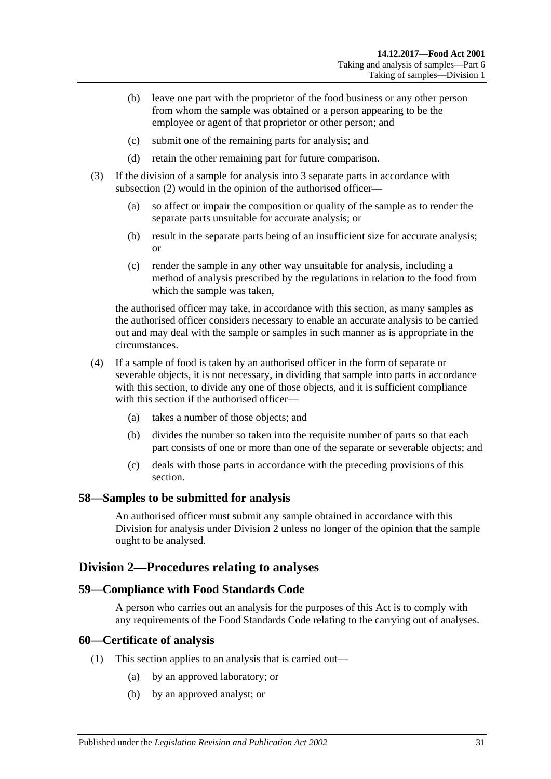- (b) leave one part with the proprietor of the food business or any other person from whom the sample was obtained or a person appearing to be the employee or agent of that proprietor or other person; and
- (c) submit one of the remaining parts for analysis; and
- (d) retain the other remaining part for future comparison.
- <span id="page-30-4"></span>(3) If the division of a sample for analysis into 3 separate parts in accordance with [subsection](#page-29-7) (2) would in the opinion of the authorised officer—
	- (a) so affect or impair the composition or quality of the sample as to render the separate parts unsuitable for accurate analysis; or
	- (b) result in the separate parts being of an insufficient size for accurate analysis; or
	- (c) render the sample in any other way unsuitable for analysis, including a method of analysis prescribed by the regulations in relation to the food from which the sample was taken,

the authorised officer may take, in accordance with this section, as many samples as the authorised officer considers necessary to enable an accurate analysis to be carried out and may deal with the sample or samples in such manner as is appropriate in the circumstances.

- (4) If a sample of food is taken by an authorised officer in the form of separate or severable objects, it is not necessary, in dividing that sample into parts in accordance with this section, to divide any one of those objects, and it is sufficient compliance with this section if the authorised officer—
	- (a) takes a number of those objects; and
	- (b) divides the number so taken into the requisite number of parts so that each part consists of one or more than one of the separate or severable objects; and
	- (c) deals with those parts in accordance with the preceding provisions of this section.

#### <span id="page-30-0"></span>**58—Samples to be submitted for analysis**

An authorised officer must submit any sample obtained in accordance with this Division for analysis under [Division 2](#page-30-1) unless no longer of the opinion that the sample ought to be analysed.

## <span id="page-30-1"></span>**Division 2—Procedures relating to analyses**

#### <span id="page-30-2"></span>**59—Compliance with Food Standards Code**

A person who carries out an analysis for the purposes of this Act is to comply with any requirements of the Food Standards Code relating to the carrying out of analyses.

#### <span id="page-30-3"></span>**60—Certificate of analysis**

- (1) This section applies to an analysis that is carried out—
	- (a) by an approved laboratory; or
	- (b) by an approved analyst; or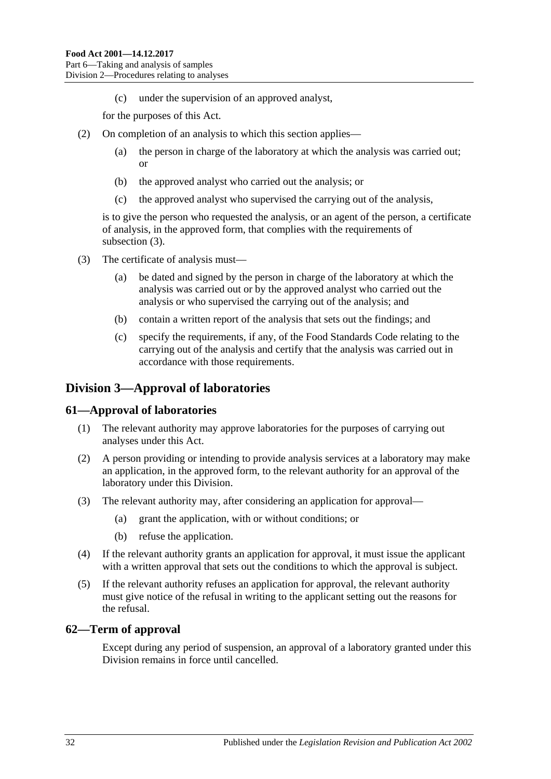(c) under the supervision of an approved analyst,

for the purposes of this Act.

- (2) On completion of an analysis to which this section applies—
	- (a) the person in charge of the laboratory at which the analysis was carried out; or
	- (b) the approved analyst who carried out the analysis; or
	- (c) the approved analyst who supervised the carrying out of the analysis,

is to give the person who requested the analysis, or an agent of the person, a certificate of analysis, in the approved form, that complies with the requirements of [subsection](#page-31-3) (3).

- <span id="page-31-3"></span>(3) The certificate of analysis must—
	- (a) be dated and signed by the person in charge of the laboratory at which the analysis was carried out or by the approved analyst who carried out the analysis or who supervised the carrying out of the analysis; and
	- (b) contain a written report of the analysis that sets out the findings; and
	- (c) specify the requirements, if any, of the Food Standards Code relating to the carrying out of the analysis and certify that the analysis was carried out in accordance with those requirements.

## <span id="page-31-0"></span>**Division 3—Approval of laboratories**

#### <span id="page-31-1"></span>**61—Approval of laboratories**

- (1) The relevant authority may approve laboratories for the purposes of carrying out analyses under this Act.
- (2) A person providing or intending to provide analysis services at a laboratory may make an application, in the approved form, to the relevant authority for an approval of the laboratory under this Division.
- (3) The relevant authority may, after considering an application for approval—
	- (a) grant the application, with or without conditions; or
	- (b) refuse the application.
- (4) If the relevant authority grants an application for approval, it must issue the applicant with a written approval that sets out the conditions to which the approval is subject.
- (5) If the relevant authority refuses an application for approval, the relevant authority must give notice of the refusal in writing to the applicant setting out the reasons for the refusal.

#### <span id="page-31-2"></span>**62—Term of approval**

Except during any period of suspension, an approval of a laboratory granted under this Division remains in force until cancelled.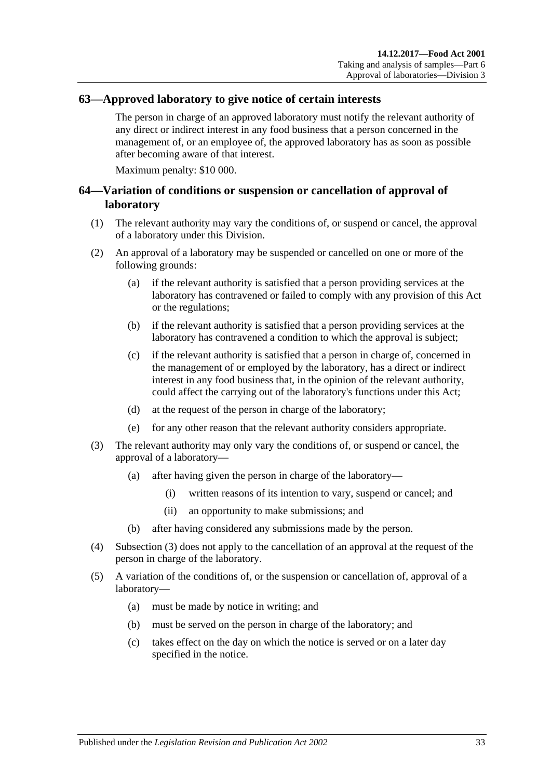### <span id="page-32-0"></span>**63—Approved laboratory to give notice of certain interests**

The person in charge of an approved laboratory must notify the relevant authority of any direct or indirect interest in any food business that a person concerned in the management of, or an employee of, the approved laboratory has as soon as possible after becoming aware of that interest.

Maximum penalty: \$10 000.

## <span id="page-32-1"></span>**64—Variation of conditions or suspension or cancellation of approval of laboratory**

- (1) The relevant authority may vary the conditions of, or suspend or cancel, the approval of a laboratory under this Division.
- (2) An approval of a laboratory may be suspended or cancelled on one or more of the following grounds:
	- (a) if the relevant authority is satisfied that a person providing services at the laboratory has contravened or failed to comply with any provision of this Act or the regulations;
	- (b) if the relevant authority is satisfied that a person providing services at the laboratory has contravened a condition to which the approval is subject;
	- (c) if the relevant authority is satisfied that a person in charge of, concerned in the management of or employed by the laboratory, has a direct or indirect interest in any food business that, in the opinion of the relevant authority, could affect the carrying out of the laboratory's functions under this Act;
	- (d) at the request of the person in charge of the laboratory;
	- (e) for any other reason that the relevant authority considers appropriate.
- <span id="page-32-2"></span>(3) The relevant authority may only vary the conditions of, or suspend or cancel, the approval of a laboratory—
	- (a) after having given the person in charge of the laboratory—
		- (i) written reasons of its intention to vary, suspend or cancel; and
		- (ii) an opportunity to make submissions; and
	- (b) after having considered any submissions made by the person.
- (4) [Subsection](#page-32-2) (3) does not apply to the cancellation of an approval at the request of the person in charge of the laboratory.
- (5) A variation of the conditions of, or the suspension or cancellation of, approval of a laboratory—
	- (a) must be made by notice in writing; and
	- (b) must be served on the person in charge of the laboratory; and
	- (c) takes effect on the day on which the notice is served or on a later day specified in the notice.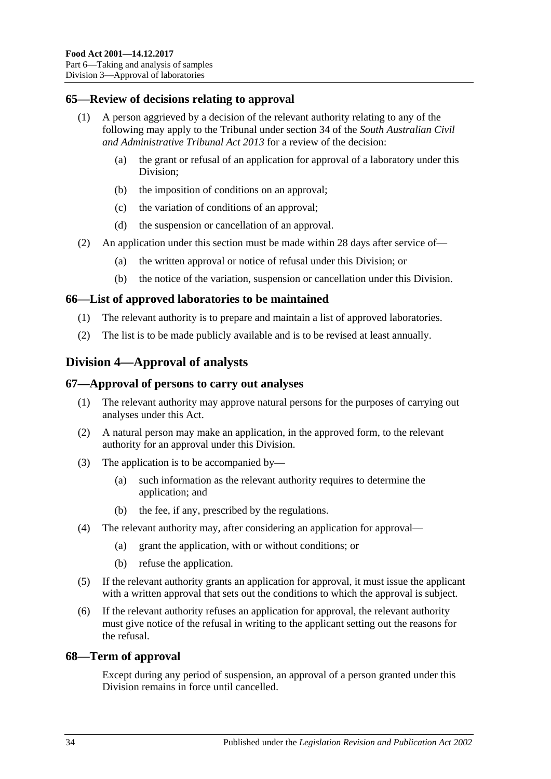## <span id="page-33-0"></span>**65—Review of decisions relating to approval**

- (1) A person aggrieved by a decision of the relevant authority relating to any of the following may apply to the Tribunal under section 34 of the *[South Australian Civil](http://www.legislation.sa.gov.au/index.aspx?action=legref&type=act&legtitle=South%20Australian%20Civil%20and%20Administrative%20Tribunal%20Act%202013)  [and Administrative Tribunal Act](http://www.legislation.sa.gov.au/index.aspx?action=legref&type=act&legtitle=South%20Australian%20Civil%20and%20Administrative%20Tribunal%20Act%202013) 2013* for a review of the decision:
	- (a) the grant or refusal of an application for approval of a laboratory under this Division;
	- (b) the imposition of conditions on an approval;
	- (c) the variation of conditions of an approval;
	- (d) the suspension or cancellation of an approval.
- (2) An application under this section must be made within 28 days after service of—
	- (a) the written approval or notice of refusal under this Division; or
	- (b) the notice of the variation, suspension or cancellation under this Division.

## <span id="page-33-1"></span>**66—List of approved laboratories to be maintained**

- (1) The relevant authority is to prepare and maintain a list of approved laboratories.
- (2) The list is to be made publicly available and is to be revised at least annually.

# <span id="page-33-2"></span>**Division 4—Approval of analysts**

## <span id="page-33-3"></span>**67—Approval of persons to carry out analyses**

- (1) The relevant authority may approve natural persons for the purposes of carrying out analyses under this Act.
- (2) A natural person may make an application, in the approved form, to the relevant authority for an approval under this Division.
- (3) The application is to be accompanied by—
	- (a) such information as the relevant authority requires to determine the application; and
	- (b) the fee, if any, prescribed by the regulations.
- (4) The relevant authority may, after considering an application for approval—
	- (a) grant the application, with or without conditions; or
	- (b) refuse the application.
- (5) If the relevant authority grants an application for approval, it must issue the applicant with a written approval that sets out the conditions to which the approval is subject.
- (6) If the relevant authority refuses an application for approval, the relevant authority must give notice of the refusal in writing to the applicant setting out the reasons for the refusal.

## <span id="page-33-4"></span>**68—Term of approval**

Except during any period of suspension, an approval of a person granted under this Division remains in force until cancelled.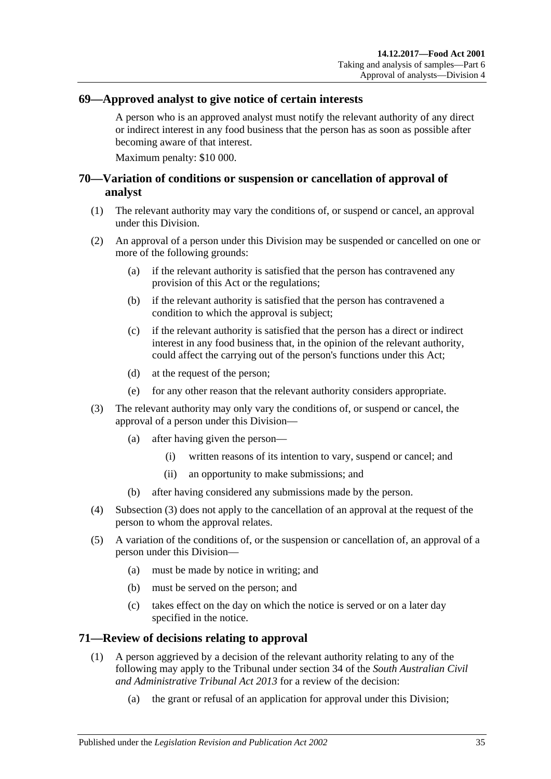## <span id="page-34-0"></span>**69—Approved analyst to give notice of certain interests**

A person who is an approved analyst must notify the relevant authority of any direct or indirect interest in any food business that the person has as soon as possible after becoming aware of that interest.

Maximum penalty: \$10 000.

## <span id="page-34-1"></span>**70—Variation of conditions or suspension or cancellation of approval of analyst**

- (1) The relevant authority may vary the conditions of, or suspend or cancel, an approval under this Division.
- (2) An approval of a person under this Division may be suspended or cancelled on one or more of the following grounds:
	- (a) if the relevant authority is satisfied that the person has contravened any provision of this Act or the regulations;
	- (b) if the relevant authority is satisfied that the person has contravened a condition to which the approval is subject;
	- (c) if the relevant authority is satisfied that the person has a direct or indirect interest in any food business that, in the opinion of the relevant authority, could affect the carrying out of the person's functions under this Act;
	- (d) at the request of the person;
	- (e) for any other reason that the relevant authority considers appropriate.
- <span id="page-34-3"></span>(3) The relevant authority may only vary the conditions of, or suspend or cancel, the approval of a person under this Division—
	- (a) after having given the person—
		- (i) written reasons of its intention to vary, suspend or cancel; and
		- (ii) an opportunity to make submissions; and
	- (b) after having considered any submissions made by the person.
- (4) [Subsection](#page-34-3) (3) does not apply to the cancellation of an approval at the request of the person to whom the approval relates.
- (5) A variation of the conditions of, or the suspension or cancellation of, an approval of a person under this Division—
	- (a) must be made by notice in writing; and
	- (b) must be served on the person; and
	- (c) takes effect on the day on which the notice is served or on a later day specified in the notice.

#### <span id="page-34-2"></span>**71—Review of decisions relating to approval**

- (1) A person aggrieved by a decision of the relevant authority relating to any of the following may apply to the Tribunal under section 34 of the *[South Australian Civil](http://www.legislation.sa.gov.au/index.aspx?action=legref&type=act&legtitle=South%20Australian%20Civil%20and%20Administrative%20Tribunal%20Act%202013)  [and Administrative Tribunal Act](http://www.legislation.sa.gov.au/index.aspx?action=legref&type=act&legtitle=South%20Australian%20Civil%20and%20Administrative%20Tribunal%20Act%202013) 2013* for a review of the decision:
	- (a) the grant or refusal of an application for approval under this Division;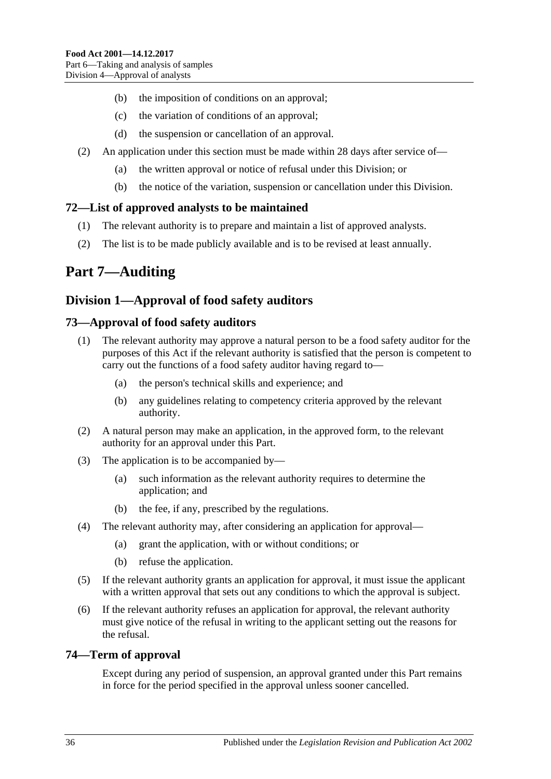- (b) the imposition of conditions on an approval;
- (c) the variation of conditions of an approval;
- (d) the suspension or cancellation of an approval.
- (2) An application under this section must be made within 28 days after service of—
	- (a) the written approval or notice of refusal under this Division; or
	- (b) the notice of the variation, suspension or cancellation under this Division.

## <span id="page-35-0"></span>**72—List of approved analysts to be maintained**

- (1) The relevant authority is to prepare and maintain a list of approved analysts.
- (2) The list is to be made publicly available and is to be revised at least annually.

# <span id="page-35-1"></span>**Part 7—Auditing**

# <span id="page-35-2"></span>**Division 1—Approval of food safety auditors**

## <span id="page-35-3"></span>**73—Approval of food safety auditors**

- (1) The relevant authority may approve a natural person to be a food safety auditor for the purposes of this Act if the relevant authority is satisfied that the person is competent to carry out the functions of a food safety auditor having regard to—
	- (a) the person's technical skills and experience; and
	- (b) any guidelines relating to competency criteria approved by the relevant authority.
- (2) A natural person may make an application, in the approved form, to the relevant authority for an approval under this Part.
- (3) The application is to be accompanied by—
	- (a) such information as the relevant authority requires to determine the application; and
	- (b) the fee, if any, prescribed by the regulations.
- (4) The relevant authority may, after considering an application for approval—
	- (a) grant the application, with or without conditions; or
	- (b) refuse the application.
- (5) If the relevant authority grants an application for approval, it must issue the applicant with a written approval that sets out any conditions to which the approval is subject.
- (6) If the relevant authority refuses an application for approval, the relevant authority must give notice of the refusal in writing to the applicant setting out the reasons for the refusal.

## <span id="page-35-4"></span>**74—Term of approval**

Except during any period of suspension, an approval granted under this Part remains in force for the period specified in the approval unless sooner cancelled.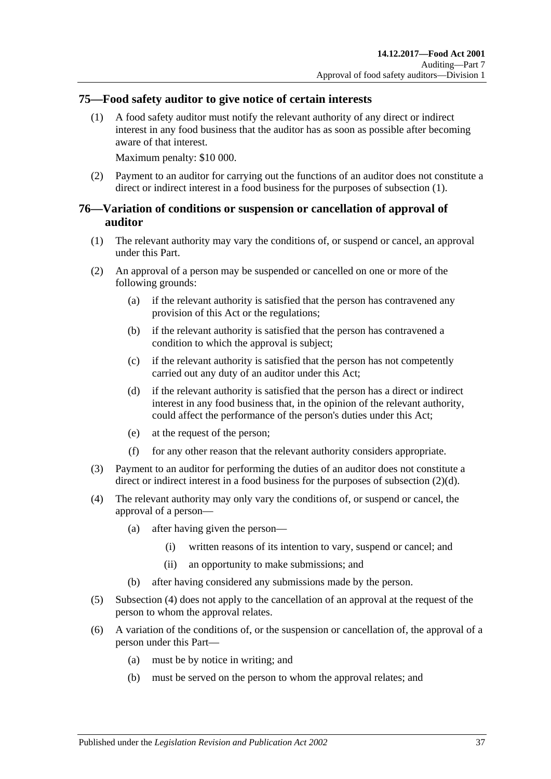## <span id="page-36-2"></span><span id="page-36-0"></span>**75—Food safety auditor to give notice of certain interests**

(1) A food safety auditor must notify the relevant authority of any direct or indirect interest in any food business that the auditor has as soon as possible after becoming aware of that interest.

Maximum penalty: \$10 000.

(2) Payment to an auditor for carrying out the functions of an auditor does not constitute a direct or indirect interest in a food business for the purposes of [subsection](#page-36-2) (1).

## <span id="page-36-1"></span>**76—Variation of conditions or suspension or cancellation of approval of auditor**

- (1) The relevant authority may vary the conditions of, or suspend or cancel, an approval under this Part.
- (2) An approval of a person may be suspended or cancelled on one or more of the following grounds:
	- (a) if the relevant authority is satisfied that the person has contravened any provision of this Act or the regulations;
	- (b) if the relevant authority is satisfied that the person has contravened a condition to which the approval is subject;
	- (c) if the relevant authority is satisfied that the person has not competently carried out any duty of an auditor under this Act;
	- (d) if the relevant authority is satisfied that the person has a direct or indirect interest in any food business that, in the opinion of the relevant authority, could affect the performance of the person's duties under this Act;
	- (e) at the request of the person;
	- (f) for any other reason that the relevant authority considers appropriate.
- <span id="page-36-3"></span>(3) Payment to an auditor for performing the duties of an auditor does not constitute a direct or indirect interest in a food business for the purposes of [subsection](#page-36-3) (2)(d).
- <span id="page-36-4"></span>(4) The relevant authority may only vary the conditions of, or suspend or cancel, the approval of a person—
	- (a) after having given the person—
		- (i) written reasons of its intention to vary, suspend or cancel; and
		- (ii) an opportunity to make submissions; and
	- (b) after having considered any submissions made by the person.
- (5) [Subsection](#page-36-4) (4) does not apply to the cancellation of an approval at the request of the person to whom the approval relates.
- (6) A variation of the conditions of, or the suspension or cancellation of, the approval of a person under this Part—
	- (a) must be by notice in writing; and
	- (b) must be served on the person to whom the approval relates; and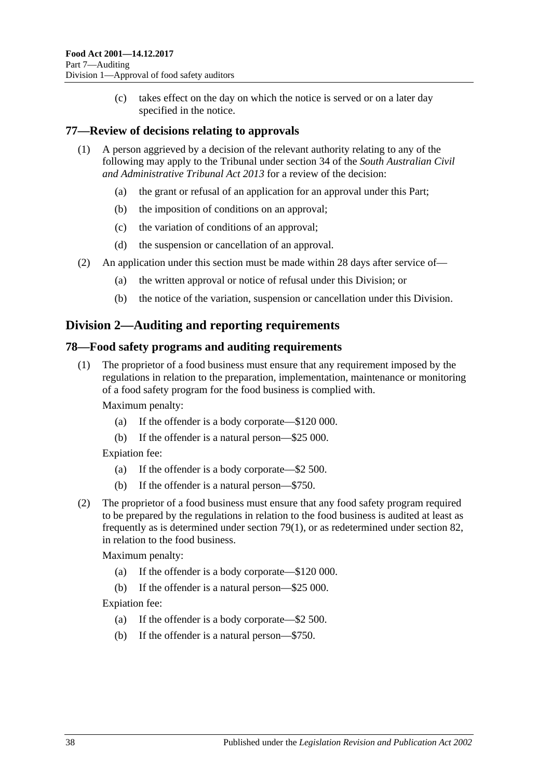(c) takes effect on the day on which the notice is served or on a later day specified in the notice.

## <span id="page-37-0"></span>**77—Review of decisions relating to approvals**

- (1) A person aggrieved by a decision of the relevant authority relating to any of the following may apply to the Tribunal under section 34 of the *[South Australian Civil](http://www.legislation.sa.gov.au/index.aspx?action=legref&type=act&legtitle=South%20Australian%20Civil%20and%20Administrative%20Tribunal%20Act%202013)  [and Administrative Tribunal Act](http://www.legislation.sa.gov.au/index.aspx?action=legref&type=act&legtitle=South%20Australian%20Civil%20and%20Administrative%20Tribunal%20Act%202013) 2013* for a review of the decision:
	- (a) the grant or refusal of an application for an approval under this Part;
	- (b) the imposition of conditions on an approval;
	- (c) the variation of conditions of an approval;
	- (d) the suspension or cancellation of an approval.
- (2) An application under this section must be made within 28 days after service of—
	- (a) the written approval or notice of refusal under this Division; or
	- (b) the notice of the variation, suspension or cancellation under this Division.

## <span id="page-37-1"></span>**Division 2—Auditing and reporting requirements**

## <span id="page-37-2"></span>**78—Food safety programs and auditing requirements**

(1) The proprietor of a food business must ensure that any requirement imposed by the regulations in relation to the preparation, implementation, maintenance or monitoring of a food safety program for the food business is complied with.

Maximum penalty:

- (a) If the offender is a body corporate—\$120 000.
- (b) If the offender is a natural person—\$25 000.

Expiation fee:

- (a) If the offender is a body corporate—\$2 500.
- (b) If the offender is a natural person—\$750.
- (2) The proprietor of a food business must ensure that any food safety program required to be prepared by the regulations in relation to the food business is audited at least as frequently as is determined under [section](#page-38-3) 79(1), or as redetermined under [section](#page-39-0) 82, in relation to the food business.

Maximum penalty:

- (a) If the offender is a body corporate—\$120 000.
- (b) If the offender is a natural person—\$25 000.

Expiation fee:

- (a) If the offender is a body corporate—\$2 500.
- (b) If the offender is a natural person—\$750.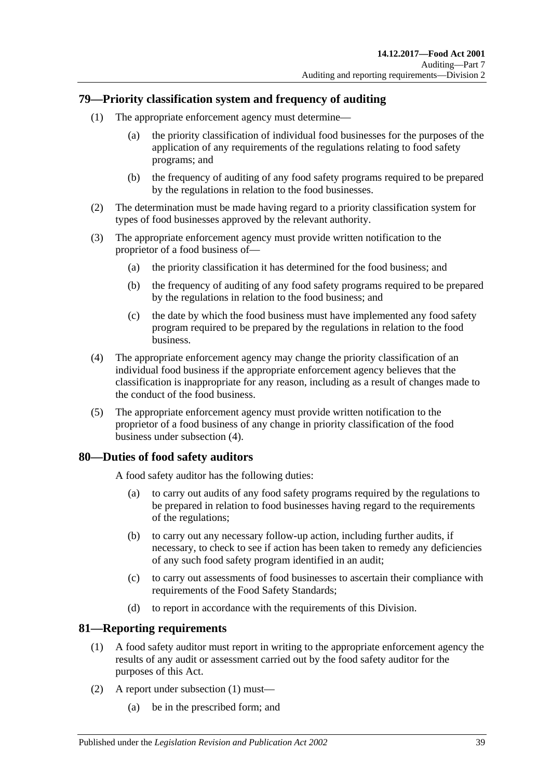## <span id="page-38-3"></span><span id="page-38-0"></span>**79—Priority classification system and frequency of auditing**

- (1) The appropriate enforcement agency must determine—
	- (a) the priority classification of individual food businesses for the purposes of the application of any requirements of the regulations relating to food safety programs; and
	- (b) the frequency of auditing of any food safety programs required to be prepared by the regulations in relation to the food businesses.
- (2) The determination must be made having regard to a priority classification system for types of food businesses approved by the relevant authority.
- (3) The appropriate enforcement agency must provide written notification to the proprietor of a food business of—
	- (a) the priority classification it has determined for the food business; and
	- (b) the frequency of auditing of any food safety programs required to be prepared by the regulations in relation to the food business; and
	- (c) the date by which the food business must have implemented any food safety program required to be prepared by the regulations in relation to the food business.
- <span id="page-38-4"></span>(4) The appropriate enforcement agency may change the priority classification of an individual food business if the appropriate enforcement agency believes that the classification is inappropriate for any reason, including as a result of changes made to the conduct of the food business.
- (5) The appropriate enforcement agency must provide written notification to the proprietor of a food business of any change in priority classification of the food business under [subsection](#page-38-4) (4).

## <span id="page-38-1"></span>**80—Duties of food safety auditors**

A food safety auditor has the following duties:

- (a) to carry out audits of any food safety programs required by the regulations to be prepared in relation to food businesses having regard to the requirements of the regulations;
- (b) to carry out any necessary follow-up action, including further audits, if necessary, to check to see if action has been taken to remedy any deficiencies of any such food safety program identified in an audit;
- (c) to carry out assessments of food businesses to ascertain their compliance with requirements of the Food Safety Standards;
- (d) to report in accordance with the requirements of this Division.

## <span id="page-38-5"></span><span id="page-38-2"></span>**81—Reporting requirements**

- (1) A food safety auditor must report in writing to the appropriate enforcement agency the results of any audit or assessment carried out by the food safety auditor for the purposes of this Act.
- (2) A report under [subsection](#page-38-5) (1) must—
	- (a) be in the prescribed form; and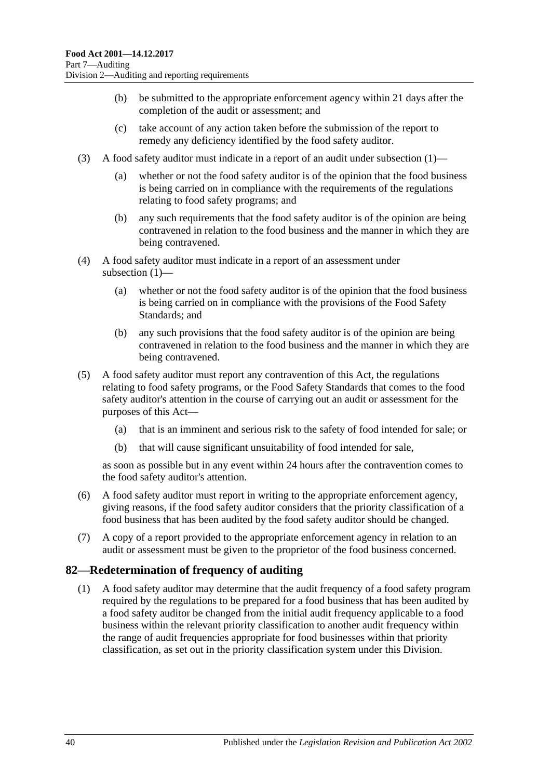- (b) be submitted to the appropriate enforcement agency within 21 days after the completion of the audit or assessment; and
- (c) take account of any action taken before the submission of the report to remedy any deficiency identified by the food safety auditor.
- (3) A food safety auditor must indicate in a report of an audit under [subsection](#page-38-5) (1)—
	- (a) whether or not the food safety auditor is of the opinion that the food business is being carried on in compliance with the requirements of the regulations relating to food safety programs; and
	- (b) any such requirements that the food safety auditor is of the opinion are being contravened in relation to the food business and the manner in which they are being contravened.
- (4) A food safety auditor must indicate in a report of an assessment under [subsection](#page-38-5) (1)—
	- (a) whether or not the food safety auditor is of the opinion that the food business is being carried on in compliance with the provisions of the Food Safety Standards; and
	- (b) any such provisions that the food safety auditor is of the opinion are being contravened in relation to the food business and the manner in which they are being contravened.
- (5) A food safety auditor must report any contravention of this Act, the regulations relating to food safety programs, or the Food Safety Standards that comes to the food safety auditor's attention in the course of carrying out an audit or assessment for the purposes of this Act—
	- (a) that is an imminent and serious risk to the safety of food intended for sale; or
	- (b) that will cause significant unsuitability of food intended for sale,

as soon as possible but in any event within 24 hours after the contravention comes to the food safety auditor's attention.

- (6) A food safety auditor must report in writing to the appropriate enforcement agency, giving reasons, if the food safety auditor considers that the priority classification of a food business that has been audited by the food safety auditor should be changed.
- (7) A copy of a report provided to the appropriate enforcement agency in relation to an audit or assessment must be given to the proprietor of the food business concerned.

## <span id="page-39-0"></span>**82—Redetermination of frequency of auditing**

(1) A food safety auditor may determine that the audit frequency of a food safety program required by the regulations to be prepared for a food business that has been audited by a food safety auditor be changed from the initial audit frequency applicable to a food business within the relevant priority classification to another audit frequency within the range of audit frequencies appropriate for food businesses within that priority classification, as set out in the priority classification system under this Division.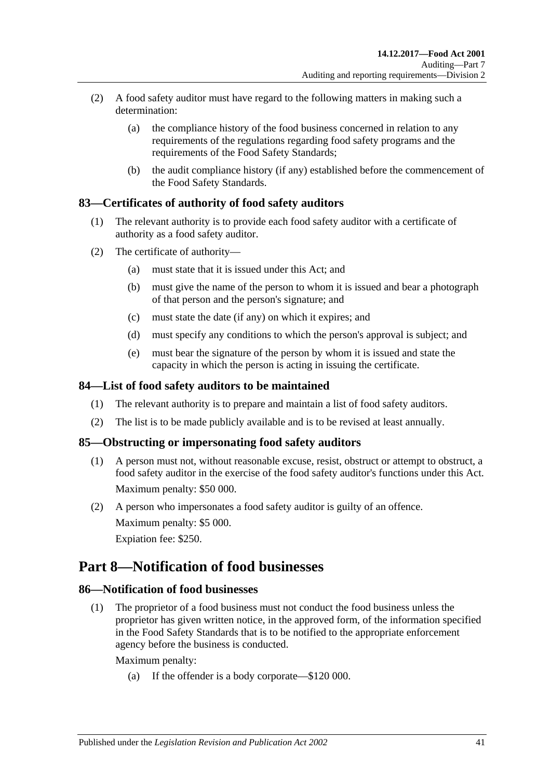- (2) A food safety auditor must have regard to the following matters in making such a determination:
	- (a) the compliance history of the food business concerned in relation to any requirements of the regulations regarding food safety programs and the requirements of the Food Safety Standards;
	- (b) the audit compliance history (if any) established before the commencement of the Food Safety Standards.

## <span id="page-40-0"></span>**83—Certificates of authority of food safety auditors**

- (1) The relevant authority is to provide each food safety auditor with a certificate of authority as a food safety auditor.
- (2) The certificate of authority—
	- (a) must state that it is issued under this Act; and
	- (b) must give the name of the person to whom it is issued and bear a photograph of that person and the person's signature; and
	- (c) must state the date (if any) on which it expires; and
	- (d) must specify any conditions to which the person's approval is subject; and
	- (e) must bear the signature of the person by whom it is issued and state the capacity in which the person is acting in issuing the certificate.

## <span id="page-40-1"></span>**84—List of food safety auditors to be maintained**

- (1) The relevant authority is to prepare and maintain a list of food safety auditors.
- (2) The list is to be made publicly available and is to be revised at least annually.

## <span id="page-40-2"></span>**85—Obstructing or impersonating food safety auditors**

- (1) A person must not, without reasonable excuse, resist, obstruct or attempt to obstruct, a food safety auditor in the exercise of the food safety auditor's functions under this Act. Maximum penalty: \$50 000.
- (2) A person who impersonates a food safety auditor is guilty of an offence. Maximum penalty: \$5 000. Expiation fee: \$250.

# <span id="page-40-3"></span>**Part 8—Notification of food businesses**

## <span id="page-40-5"></span><span id="page-40-4"></span>**86—Notification of food businesses**

(1) The proprietor of a food business must not conduct the food business unless the proprietor has given written notice, in the approved form, of the information specified in the Food Safety Standards that is to be notified to the appropriate enforcement agency before the business is conducted.

Maximum penalty:

(a) If the offender is a body corporate—\$120 000.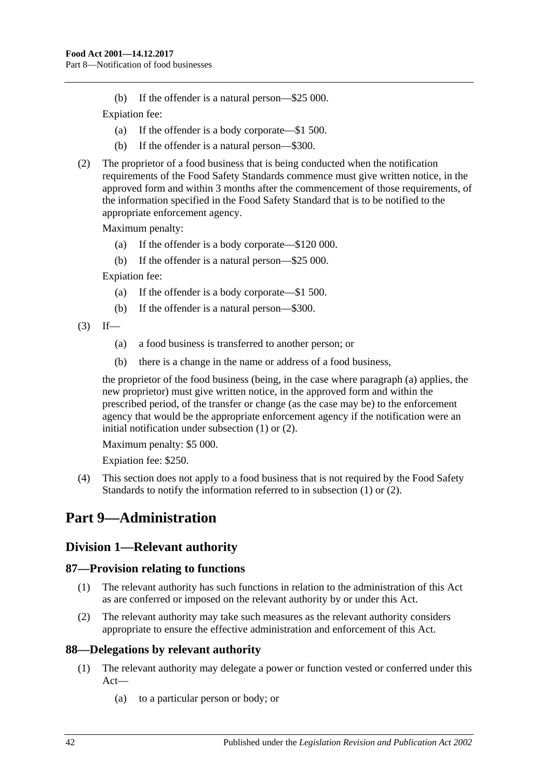(b) If the offender is a natural person—\$25 000.

Expiation fee:

- (a) If the offender is a body corporate—\$1 500.
- (b) If the offender is a natural person—\$300.
- <span id="page-41-5"></span>(2) The proprietor of a food business that is being conducted when the notification requirements of the Food Safety Standards commence must give written notice, in the approved form and within 3 months after the commencement of those requirements, of the information specified in the Food Safety Standard that is to be notified to the appropriate enforcement agency.

Maximum penalty:

- (a) If the offender is a body corporate—\$120 000.
- (b) If the offender is a natural person—\$25 000.

Expiation fee:

- (a) If the offender is a body corporate—\$1 500.
- (b) If the offender is a natural person—\$300.
- <span id="page-41-4"></span> $(3)$  If—
	- (a) a food business is transferred to another person; or
	- (b) there is a change in the name or address of a food business,

the proprietor of the food business (being, in the case where [paragraph](#page-41-4) (a) applies, the new proprietor) must give written notice, in the approved form and within the prescribed period, of the transfer or change (as the case may be) to the enforcement agency that would be the appropriate enforcement agency if the notification were an initial notification under [subsection](#page-40-5) (1) or [\(2\).](#page-41-5)

Maximum penalty: \$5 000.

Expiation fee: \$250.

(4) This section does not apply to a food business that is not required by the Food Safety Standards to notify the information referred to in [subsection](#page-40-5) (1) or [\(2\).](#page-41-5)

# <span id="page-41-0"></span>**Part 9—Administration**

## <span id="page-41-1"></span>**Division 1—Relevant authority**

## <span id="page-41-2"></span>**87—Provision relating to functions**

- (1) The relevant authority has such functions in relation to the administration of this Act as are conferred or imposed on the relevant authority by or under this Act.
- (2) The relevant authority may take such measures as the relevant authority considers appropriate to ensure the effective administration and enforcement of this Act.

## <span id="page-41-3"></span>**88—Delegations by relevant authority**

- (1) The relevant authority may delegate a power or function vested or conferred under this Act—
	- (a) to a particular person or body; or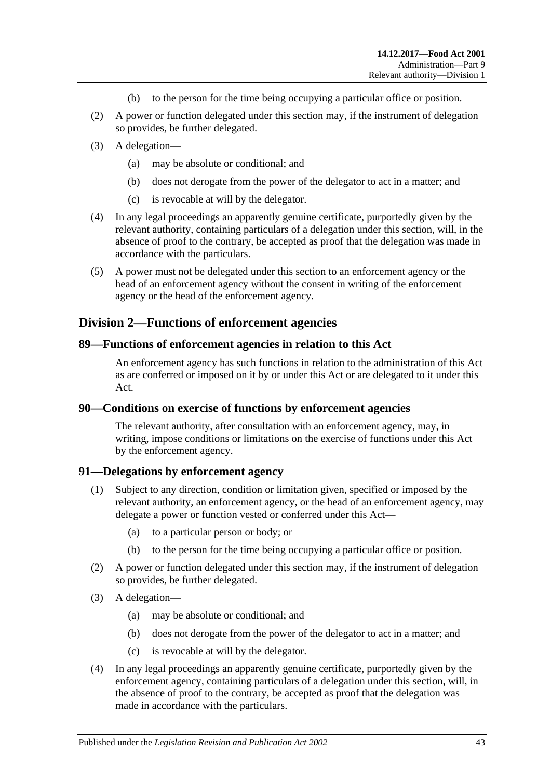- (b) to the person for the time being occupying a particular office or position.
- (2) A power or function delegated under this section may, if the instrument of delegation so provides, be further delegated.
- (3) A delegation—
	- (a) may be absolute or conditional; and
	- (b) does not derogate from the power of the delegator to act in a matter; and
	- (c) is revocable at will by the delegator.
- (4) In any legal proceedings an apparently genuine certificate, purportedly given by the relevant authority, containing particulars of a delegation under this section, will, in the absence of proof to the contrary, be accepted as proof that the delegation was made in accordance with the particulars.
- (5) A power must not be delegated under this section to an enforcement agency or the head of an enforcement agency without the consent in writing of the enforcement agency or the head of the enforcement agency.

## <span id="page-42-0"></span>**Division 2—Functions of enforcement agencies**

#### <span id="page-42-1"></span>**89—Functions of enforcement agencies in relation to this Act**

An enforcement agency has such functions in relation to the administration of this Act as are conferred or imposed on it by or under this Act or are delegated to it under this Act.

#### <span id="page-42-2"></span>**90—Conditions on exercise of functions by enforcement agencies**

The relevant authority, after consultation with an enforcement agency, may, in writing, impose conditions or limitations on the exercise of functions under this Act by the enforcement agency.

#### <span id="page-42-3"></span>**91—Delegations by enforcement agency**

- (1) Subject to any direction, condition or limitation given, specified or imposed by the relevant authority, an enforcement agency, or the head of an enforcement agency, may delegate a power or function vested or conferred under this Act—
	- (a) to a particular person or body; or
	- (b) to the person for the time being occupying a particular office or position.
- (2) A power or function delegated under this section may, if the instrument of delegation so provides, be further delegated.
- (3) A delegation—
	- (a) may be absolute or conditional; and
	- (b) does not derogate from the power of the delegator to act in a matter; and
	- (c) is revocable at will by the delegator.
- (4) In any legal proceedings an apparently genuine certificate, purportedly given by the enforcement agency, containing particulars of a delegation under this section, will, in the absence of proof to the contrary, be accepted as proof that the delegation was made in accordance with the particulars.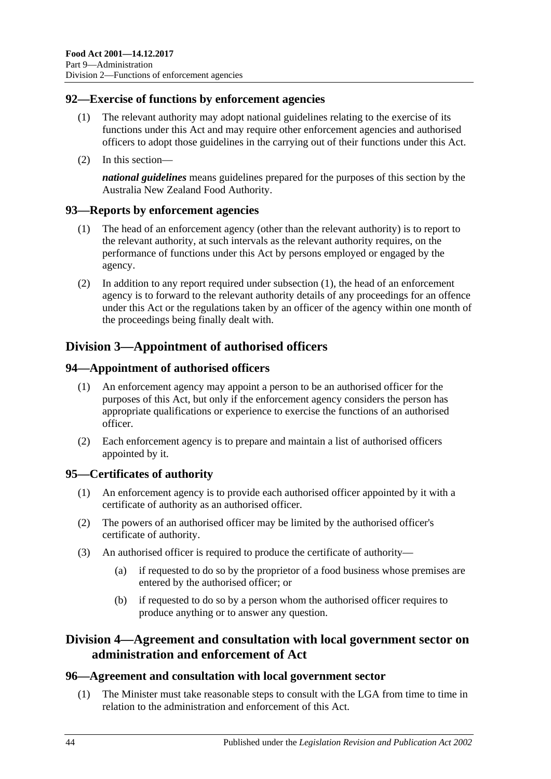## <span id="page-43-0"></span>**92—Exercise of functions by enforcement agencies**

- (1) The relevant authority may adopt national guidelines relating to the exercise of its functions under this Act and may require other enforcement agencies and authorised officers to adopt those guidelines in the carrying out of their functions under this Act.
- (2) In this section—

*national guidelines* means guidelines prepared for the purposes of this section by the Australia New Zealand Food Authority.

## <span id="page-43-7"></span><span id="page-43-1"></span>**93—Reports by enforcement agencies**

- (1) The head of an enforcement agency (other than the relevant authority) is to report to the relevant authority, at such intervals as the relevant authority requires, on the performance of functions under this Act by persons employed or engaged by the agency.
- (2) In addition to any report required under [subsection](#page-43-7) (1), the head of an enforcement agency is to forward to the relevant authority details of any proceedings for an offence under this Act or the regulations taken by an officer of the agency within one month of the proceedings being finally dealt with.

# <span id="page-43-2"></span>**Division 3—Appointment of authorised officers**

## <span id="page-43-3"></span>**94—Appointment of authorised officers**

- (1) An enforcement agency may appoint a person to be an authorised officer for the purposes of this Act, but only if the enforcement agency considers the person has appropriate qualifications or experience to exercise the functions of an authorised officer.
- (2) Each enforcement agency is to prepare and maintain a list of authorised officers appointed by it.

## <span id="page-43-4"></span>**95—Certificates of authority**

- (1) An enforcement agency is to provide each authorised officer appointed by it with a certificate of authority as an authorised officer.
- (2) The powers of an authorised officer may be limited by the authorised officer's certificate of authority.
- (3) An authorised officer is required to produce the certificate of authority—
	- (a) if requested to do so by the proprietor of a food business whose premises are entered by the authorised officer; or
	- (b) if requested to do so by a person whom the authorised officer requires to produce anything or to answer any question.

## <span id="page-43-5"></span>**Division 4—Agreement and consultation with local government sector on administration and enforcement of Act**

## <span id="page-43-8"></span><span id="page-43-6"></span>**96—Agreement and consultation with local government sector**

(1) The Minister must take reasonable steps to consult with the LGA from time to time in relation to the administration and enforcement of this Act.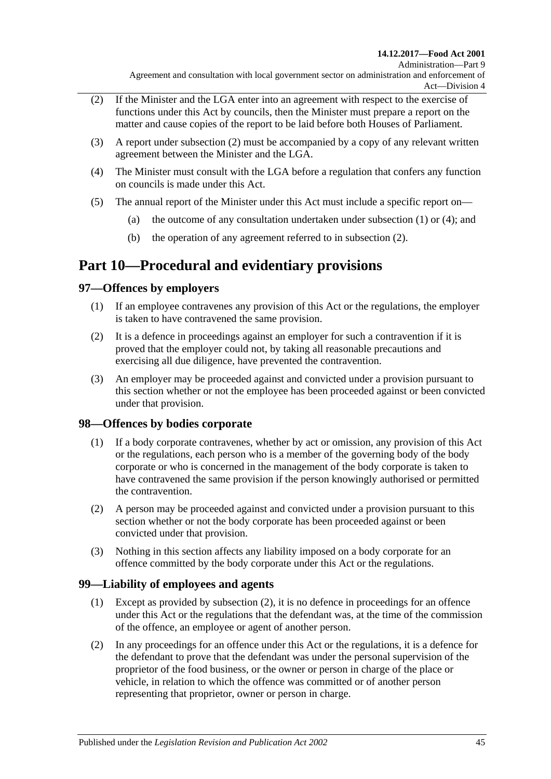- <span id="page-44-4"></span>(2) If the Minister and the LGA enter into an agreement with respect to the exercise of functions under this Act by councils, then the Minister must prepare a report on the matter and cause copies of the report to be laid before both Houses of Parliament.
- (3) A report under [subsection](#page-44-4) (2) must be accompanied by a copy of any relevant written agreement between the Minister and the LGA.
- <span id="page-44-5"></span>(4) The Minister must consult with the LGA before a regulation that confers any function on councils is made under this Act.
- (5) The annual report of the Minister under this Act must include a specific report on
	- (a) the outcome of any consultation undertaken under [subsection](#page-43-8)  $(1)$  or  $(4)$ ; and
	- (b) the operation of any agreement referred to in [subsection](#page-44-4) (2).

# <span id="page-44-0"></span>**Part 10—Procedural and evidentiary provisions**

## <span id="page-44-1"></span>**97—Offences by employers**

- (1) If an employee contravenes any provision of this Act or the regulations, the employer is taken to have contravened the same provision.
- (2) It is a defence in proceedings against an employer for such a contravention if it is proved that the employer could not, by taking all reasonable precautions and exercising all due diligence, have prevented the contravention.
- (3) An employer may be proceeded against and convicted under a provision pursuant to this section whether or not the employee has been proceeded against or been convicted under that provision.

## <span id="page-44-2"></span>**98—Offences by bodies corporate**

- (1) If a body corporate contravenes, whether by act or omission, any provision of this Act or the regulations, each person who is a member of the governing body of the body corporate or who is concerned in the management of the body corporate is taken to have contravened the same provision if the person knowingly authorised or permitted the contravention.
- (2) A person may be proceeded against and convicted under a provision pursuant to this section whether or not the body corporate has been proceeded against or been convicted under that provision.
- (3) Nothing in this section affects any liability imposed on a body corporate for an offence committed by the body corporate under this Act or the regulations.

## <span id="page-44-3"></span>**99—Liability of employees and agents**

- (1) Except as provided by [subsection](#page-44-6) (2), it is no defence in proceedings for an offence under this Act or the regulations that the defendant was, at the time of the commission of the offence, an employee or agent of another person.
- <span id="page-44-6"></span>(2) In any proceedings for an offence under this Act or the regulations, it is a defence for the defendant to prove that the defendant was under the personal supervision of the proprietor of the food business, or the owner or person in charge of the place or vehicle, in relation to which the offence was committed or of another person representing that proprietor, owner or person in charge.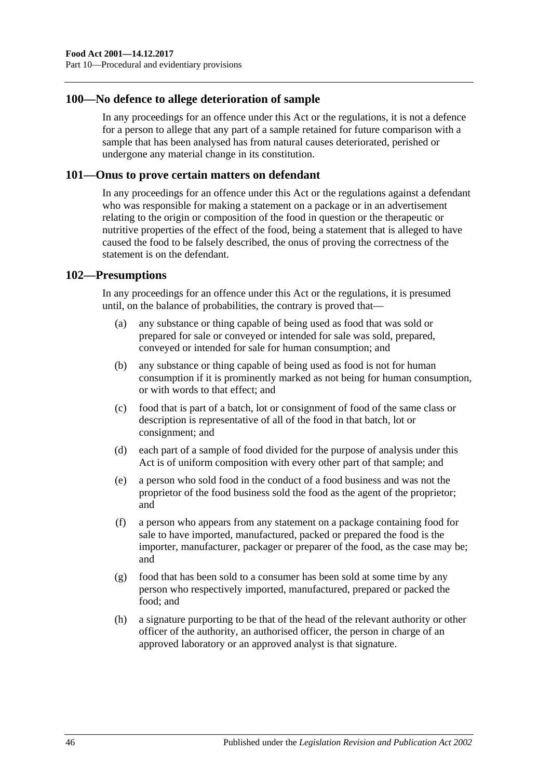### <span id="page-45-0"></span>**100—No defence to allege deterioration of sample**

In any proceedings for an offence under this Act or the regulations, it is not a defence for a person to allege that any part of a sample retained for future comparison with a sample that has been analysed has from natural causes deteriorated, perished or undergone any material change in its constitution.

#### <span id="page-45-1"></span>**101—Onus to prove certain matters on defendant**

In any proceedings for an offence under this Act or the regulations against a defendant who was responsible for making a statement on a package or in an advertisement relating to the origin or composition of the food in question or the therapeutic or nutritive properties of the effect of the food, being a statement that is alleged to have caused the food to be falsely described, the onus of proving the correctness of the statement is on the defendant.

#### <span id="page-45-2"></span>**102—Presumptions**

In any proceedings for an offence under this Act or the regulations, it is presumed until, on the balance of probabilities, the contrary is proved that—

- (a) any substance or thing capable of being used as food that was sold or prepared for sale or conveyed or intended for sale was sold, prepared, conveyed or intended for sale for human consumption; and
- (b) any substance or thing capable of being used as food is not for human consumption if it is prominently marked as not being for human consumption, or with words to that effect; and
- (c) food that is part of a batch, lot or consignment of food of the same class or description is representative of all of the food in that batch, lot or consignment; and
- (d) each part of a sample of food divided for the purpose of analysis under this Act is of uniform composition with every other part of that sample; and
- (e) a person who sold food in the conduct of a food business and was not the proprietor of the food business sold the food as the agent of the proprietor; and
- (f) a person who appears from any statement on a package containing food for sale to have imported, manufactured, packed or prepared the food is the importer, manufacturer, packager or preparer of the food, as the case may be; and
- (g) food that has been sold to a consumer has been sold at some time by any person who respectively imported, manufactured, prepared or packed the food; and
- (h) a signature purporting to be that of the head of the relevant authority or other officer of the authority, an authorised officer, the person in charge of an approved laboratory or an approved analyst is that signature.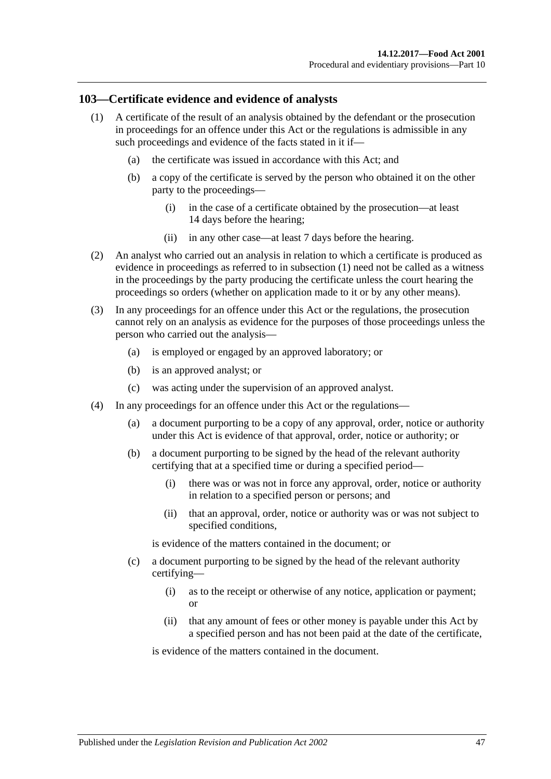## <span id="page-46-1"></span><span id="page-46-0"></span>**103—Certificate evidence and evidence of analysts**

- (1) A certificate of the result of an analysis obtained by the defendant or the prosecution in proceedings for an offence under this Act or the regulations is admissible in any such proceedings and evidence of the facts stated in it if—
	- (a) the certificate was issued in accordance with this Act; and
	- (b) a copy of the certificate is served by the person who obtained it on the other party to the proceedings—
		- (i) in the case of a certificate obtained by the prosecution—at least 14 days before the hearing;
		- (ii) in any other case—at least 7 days before the hearing.
- (2) An analyst who carried out an analysis in relation to which a certificate is produced as evidence in proceedings as referred to in [subsection](#page-46-1) (1) need not be called as a witness in the proceedings by the party producing the certificate unless the court hearing the proceedings so orders (whether on application made to it or by any other means).
- (3) In any proceedings for an offence under this Act or the regulations, the prosecution cannot rely on an analysis as evidence for the purposes of those proceedings unless the person who carried out the analysis—
	- (a) is employed or engaged by an approved laboratory; or
	- (b) is an approved analyst; or
	- (c) was acting under the supervision of an approved analyst.
- (4) In any proceedings for an offence under this Act or the regulations—
	- (a) a document purporting to be a copy of any approval, order, notice or authority under this Act is evidence of that approval, order, notice or authority; or
	- (b) a document purporting to be signed by the head of the relevant authority certifying that at a specified time or during a specified period—
		- (i) there was or was not in force any approval, order, notice or authority in relation to a specified person or persons; and
		- (ii) that an approval, order, notice or authority was or was not subject to specified conditions,

is evidence of the matters contained in the document; or

- (c) a document purporting to be signed by the head of the relevant authority certifying—
	- (i) as to the receipt or otherwise of any notice, application or payment; or
	- (ii) that any amount of fees or other money is payable under this Act by a specified person and has not been paid at the date of the certificate,

is evidence of the matters contained in the document.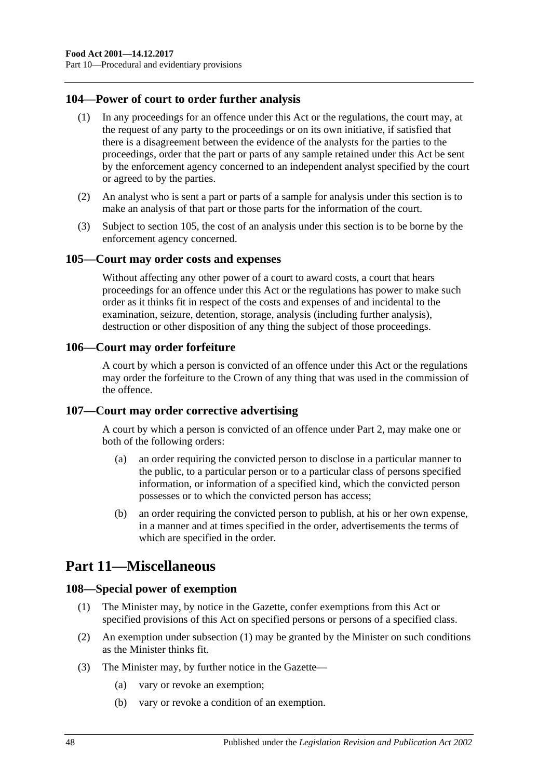## <span id="page-47-0"></span>**104—Power of court to order further analysis**

- (1) In any proceedings for an offence under this Act or the regulations, the court may, at the request of any party to the proceedings or on its own initiative, if satisfied that there is a disagreement between the evidence of the analysts for the parties to the proceedings, order that the part or parts of any sample retained under this Act be sent by the enforcement agency concerned to an independent analyst specified by the court or agreed to by the parties.
- (2) An analyst who is sent a part or parts of a sample for analysis under this section is to make an analysis of that part or those parts for the information of the court.
- (3) Subject to [section](#page-47-1) 105, the cost of an analysis under this section is to be borne by the enforcement agency concerned.

#### <span id="page-47-1"></span>**105—Court may order costs and expenses**

Without affecting any other power of a court to award costs, a court that hears proceedings for an offence under this Act or the regulations has power to make such order as it thinks fit in respect of the costs and expenses of and incidental to the examination, seizure, detention, storage, analysis (including further analysis), destruction or other disposition of any thing the subject of those proceedings.

#### <span id="page-47-2"></span>**106—Court may order forfeiture**

A court by which a person is convicted of an offence under this Act or the regulations may order the forfeiture to the Crown of any thing that was used in the commission of the offence.

#### <span id="page-47-3"></span>**107—Court may order corrective advertising**

A court by which a person is convicted of an offence under [Part 2,](#page-10-3) may make one or both of the following orders:

- (a) an order requiring the convicted person to disclose in a particular manner to the public, to a particular person or to a particular class of persons specified information, or information of a specified kind, which the convicted person possesses or to which the convicted person has access;
- (b) an order requiring the convicted person to publish, at his or her own expense, in a manner and at times specified in the order, advertisements the terms of which are specified in the order.

# <span id="page-47-4"></span>**Part 11—Miscellaneous**

#### <span id="page-47-6"></span><span id="page-47-5"></span>**108—Special power of exemption**

- (1) The Minister may, by notice in the Gazette, confer exemptions from this Act or specified provisions of this Act on specified persons or persons of a specified class.
- (2) An exemption under [subsection](#page-47-6) (1) may be granted by the Minister on such conditions as the Minister thinks fit.
- (3) The Minister may, by further notice in the Gazette—
	- (a) vary or revoke an exemption;
	- (b) vary or revoke a condition of an exemption.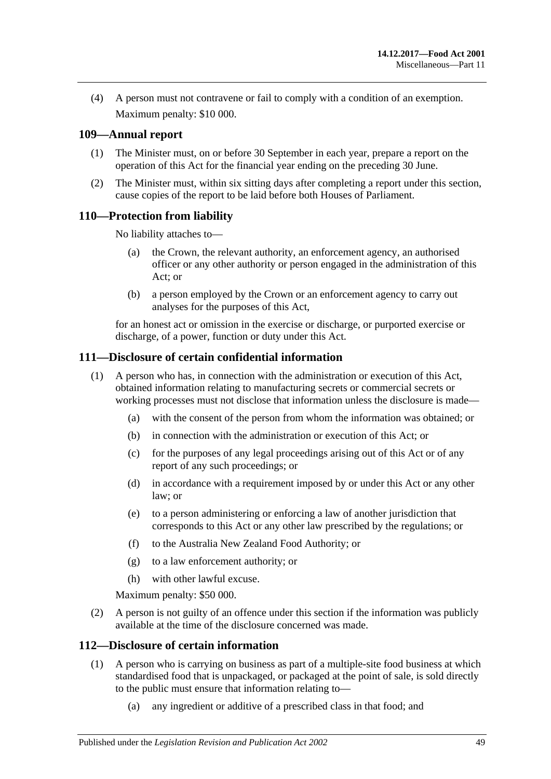(4) A person must not contravene or fail to comply with a condition of an exemption. Maximum penalty: \$10 000.

## <span id="page-48-0"></span>**109—Annual report**

- (1) The Minister must, on or before 30 September in each year, prepare a report on the operation of this Act for the financial year ending on the preceding 30 June.
- (2) The Minister must, within six sitting days after completing a report under this section, cause copies of the report to be laid before both Houses of Parliament.

## <span id="page-48-1"></span>**110—Protection from liability**

No liability attaches to—

- (a) the Crown, the relevant authority, an enforcement agency, an authorised officer or any other authority or person engaged in the administration of this Act; or
- (b) a person employed by the Crown or an enforcement agency to carry out analyses for the purposes of this Act,

for an honest act or omission in the exercise or discharge, or purported exercise or discharge, of a power, function or duty under this Act.

## <span id="page-48-2"></span>**111—Disclosure of certain confidential information**

- (1) A person who has, in connection with the administration or execution of this Act, obtained information relating to manufacturing secrets or commercial secrets or working processes must not disclose that information unless the disclosure is made—
	- (a) with the consent of the person from whom the information was obtained; or
	- (b) in connection with the administration or execution of this Act; or
	- (c) for the purposes of any legal proceedings arising out of this Act or of any report of any such proceedings; or
	- (d) in accordance with a requirement imposed by or under this Act or any other law; or
	- (e) to a person administering or enforcing a law of another jurisdiction that corresponds to this Act or any other law prescribed by the regulations; or
	- (f) to the Australia New Zealand Food Authority; or
	- (g) to a law enforcement authority; or
	- (h) with other lawful excuse.

Maximum penalty: \$50 000.

(2) A person is not guilty of an offence under this section if the information was publicly available at the time of the disclosure concerned was made.

#### <span id="page-48-4"></span><span id="page-48-3"></span>**112—Disclosure of certain information**

- (1) A person who is carrying on business as part of a multiple-site food business at which standardised food that is unpackaged, or packaged at the point of sale, is sold directly to the public must ensure that information relating to—
	- (a) any ingredient or additive of a prescribed class in that food; and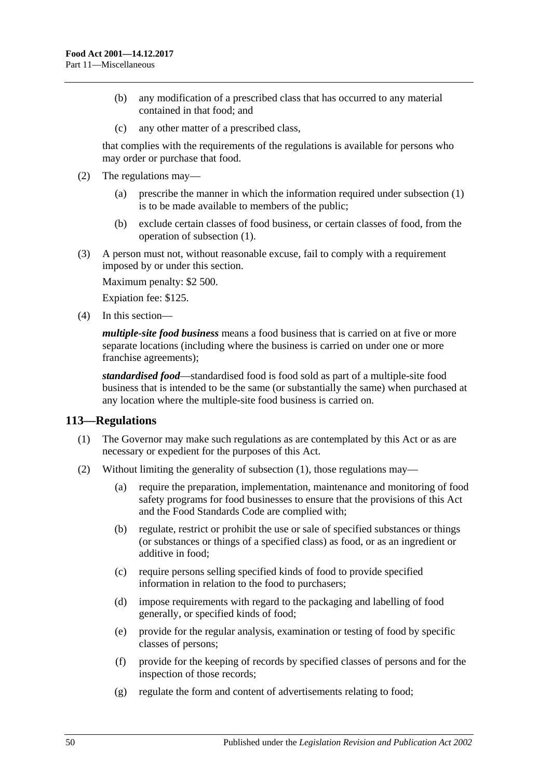- (b) any modification of a prescribed class that has occurred to any material contained in that food; and
- (c) any other matter of a prescribed class,

that complies with the requirements of the regulations is available for persons who may order or purchase that food.

- (2) The regulations may—
	- (a) prescribe the manner in which the information required under [subsection](#page-48-4) (1) is to be made available to members of the public;
	- (b) exclude certain classes of food business, or certain classes of food, from the operation of [subsection](#page-48-4) (1).

(3) A person must not, without reasonable excuse, fail to comply with a requirement imposed by or under this section.

Maximum penalty: \$2 500.

Expiation fee: \$125.

(4) In this section—

*multiple-site food business* means a food business that is carried on at five or more separate locations (including where the business is carried on under one or more franchise agreements);

*standardised food*—standardised food is food sold as part of a multiple-site food business that is intended to be the same (or substantially the same) when purchased at any location where the multiple-site food business is carried on.

## <span id="page-49-1"></span><span id="page-49-0"></span>**113—Regulations**

- (1) The Governor may make such regulations as are contemplated by this Act or as are necessary or expedient for the purposes of this Act.
- (2) Without limiting the generality of [subsection](#page-49-1) (1), those regulations may—
	- (a) require the preparation, implementation, maintenance and monitoring of food safety programs for food businesses to ensure that the provisions of this Act and the Food Standards Code are complied with;
	- (b) regulate, restrict or prohibit the use or sale of specified substances or things (or substances or things of a specified class) as food, or as an ingredient or additive in food;
	- (c) require persons selling specified kinds of food to provide specified information in relation to the food to purchasers;
	- (d) impose requirements with regard to the packaging and labelling of food generally, or specified kinds of food;
	- (e) provide for the regular analysis, examination or testing of food by specific classes of persons;
	- (f) provide for the keeping of records by specified classes of persons and for the inspection of those records;
	- (g) regulate the form and content of advertisements relating to food;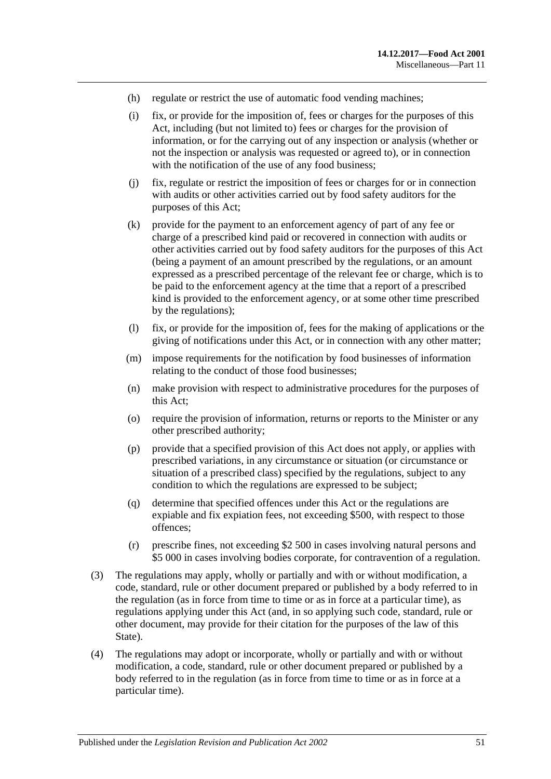- (h) regulate or restrict the use of automatic food vending machines;
- (i) fix, or provide for the imposition of, fees or charges for the purposes of this Act, including (but not limited to) fees or charges for the provision of information, or for the carrying out of any inspection or analysis (whether or not the inspection or analysis was requested or agreed to), or in connection with the notification of the use of any food business;
- (j) fix, regulate or restrict the imposition of fees or charges for or in connection with audits or other activities carried out by food safety auditors for the purposes of this Act;
- (k) provide for the payment to an enforcement agency of part of any fee or charge of a prescribed kind paid or recovered in connection with audits or other activities carried out by food safety auditors for the purposes of this Act (being a payment of an amount prescribed by the regulations, or an amount expressed as a prescribed percentage of the relevant fee or charge, which is to be paid to the enforcement agency at the time that a report of a prescribed kind is provided to the enforcement agency, or at some other time prescribed by the regulations);
- (l) fix, or provide for the imposition of, fees for the making of applications or the giving of notifications under this Act, or in connection with any other matter;
- (m) impose requirements for the notification by food businesses of information relating to the conduct of those food businesses;
- (n) make provision with respect to administrative procedures for the purposes of this Act;
- (o) require the provision of information, returns or reports to the Minister or any other prescribed authority;
- (p) provide that a specified provision of this Act does not apply, or applies with prescribed variations, in any circumstance or situation (or circumstance or situation of a prescribed class) specified by the regulations, subject to any condition to which the regulations are expressed to be subject;
- (q) determine that specified offences under this Act or the regulations are expiable and fix expiation fees, not exceeding \$500, with respect to those offences;
- (r) prescribe fines, not exceeding \$2 500 in cases involving natural persons and \$5 000 in cases involving bodies corporate, for contravention of a regulation.
- (3) The regulations may apply, wholly or partially and with or without modification, a code, standard, rule or other document prepared or published by a body referred to in the regulation (as in force from time to time or as in force at a particular time), as regulations applying under this Act (and, in so applying such code, standard, rule or other document, may provide for their citation for the purposes of the law of this State).
- (4) The regulations may adopt or incorporate, wholly or partially and with or without modification, a code, standard, rule or other document prepared or published by a body referred to in the regulation (as in force from time to time or as in force at a particular time).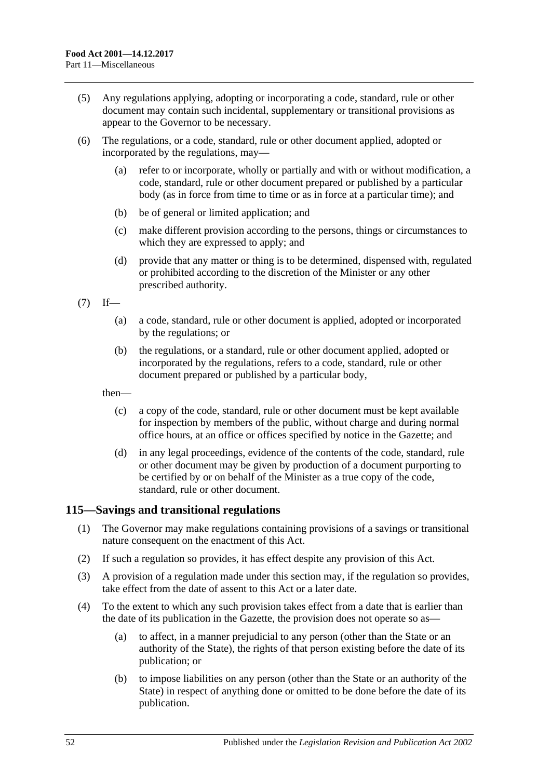- (5) Any regulations applying, adopting or incorporating a code, standard, rule or other document may contain such incidental, supplementary or transitional provisions as appear to the Governor to be necessary.
- (6) The regulations, or a code, standard, rule or other document applied, adopted or incorporated by the regulations, may—
	- (a) refer to or incorporate, wholly or partially and with or without modification, a code, standard, rule or other document prepared or published by a particular body (as in force from time to time or as in force at a particular time); and
	- (b) be of general or limited application; and
	- (c) make different provision according to the persons, things or circumstances to which they are expressed to apply; and
	- (d) provide that any matter or thing is to be determined, dispensed with, regulated or prohibited according to the discretion of the Minister or any other prescribed authority.

 $(7)$  If—

- (a) a code, standard, rule or other document is applied, adopted or incorporated by the regulations; or
- (b) the regulations, or a standard, rule or other document applied, adopted or incorporated by the regulations, refers to a code, standard, rule or other document prepared or published by a particular body,

then—

- (c) a copy of the code, standard, rule or other document must be kept available for inspection by members of the public, without charge and during normal office hours, at an office or offices specified by notice in the Gazette; and
- (d) in any legal proceedings, evidence of the contents of the code, standard, rule or other document may be given by production of a document purporting to be certified by or on behalf of the Minister as a true copy of the code, standard, rule or other document.

## <span id="page-51-0"></span>**115—Savings and transitional regulations**

- (1) The Governor may make regulations containing provisions of a savings or transitional nature consequent on the enactment of this Act.
- (2) If such a regulation so provides, it has effect despite any provision of this Act.
- (3) A provision of a regulation made under this section may, if the regulation so provides, take effect from the date of assent to this Act or a later date.
- (4) To the extent to which any such provision takes effect from a date that is earlier than the date of its publication in the Gazette, the provision does not operate so as—
	- (a) to affect, in a manner prejudicial to any person (other than the State or an authority of the State), the rights of that person existing before the date of its publication; or
	- (b) to impose liabilities on any person (other than the State or an authority of the State) in respect of anything done or omitted to be done before the date of its publication.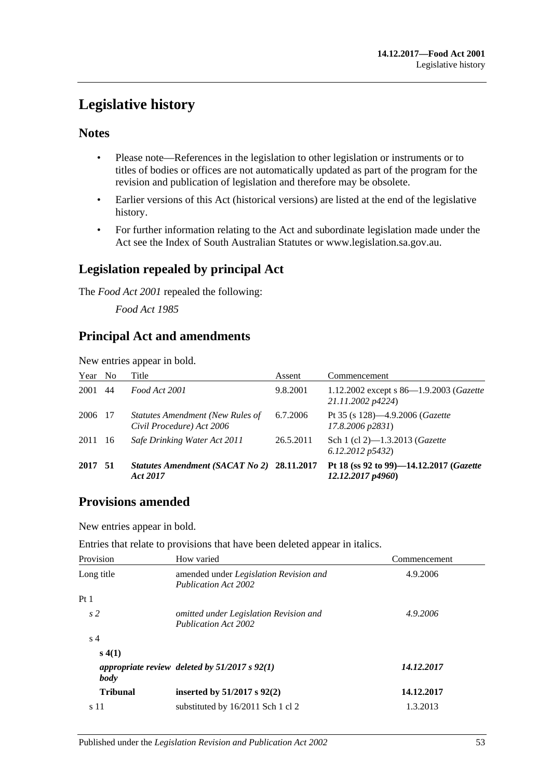# <span id="page-52-0"></span>**Legislative history**

## **Notes**

- Please note—References in the legislation to other legislation or instruments or to titles of bodies or offices are not automatically updated as part of the program for the revision and publication of legislation and therefore may be obsolete.
- Earlier versions of this Act (historical versions) are listed at the end of the legislative history.
- For further information relating to the Act and subordinate legislation made under the Act see the Index of South Australian Statutes or www.legislation.sa.gov.au.

# **Legislation repealed by principal Act**

The *Food Act 2001* repealed the following:

*Food Act 1985*

# **Principal Act and amendments**

New entries appear in bold.

| Year    | N <sub>0</sub> | Title                                                                | Assent    | Commencement                                                 |
|---------|----------------|----------------------------------------------------------------------|-----------|--------------------------------------------------------------|
| 2001    | 44             | Food Act 2001                                                        | 9.8.2001  | 1.12.2002 except s 86-1.9.2003 (Gazette<br>21.11.2002 p4224) |
| 2006 17 |                | <b>Statutes Amendment (New Rules of</b><br>Civil Procedure) Act 2006 | 6.7.2006  | Pt 35 (s 128)-4.9.2006 (Gazette<br>17.8.2006 p2831)          |
| 2011    | -16            | Safe Drinking Water Act 2011                                         | 26.5.2011 | Sch 1 (cl 2)-1.3.2013 (Gazette<br>6.12,2012p5432             |
| 2017    | - 51           | Statutes Amendment (SACAT No 2) 28.11.2017<br>Act 2017               |           | Pt 18 (ss 92 to 99)-14.12.2017 (Gazette<br>12.12.2017p4960   |

# **Provisions amended**

New entries appear in bold.

Entries that relate to provisions that have been deleted appear in italics.

| Provision       | How varied                                                                   | Commencement |
|-----------------|------------------------------------------------------------------------------|--------------|
| Long title      | amended under <i>Legislation Revision and</i><br><b>Publication Act 2002</b> | 4.9.2006     |
| Pt1             |                                                                              |              |
| s <sub>2</sub>  | omitted under Legislation Revision and<br>Publication Act 2002               | 4.9.2006     |
| s <sub>4</sub>  |                                                                              |              |
| s(4(1))         |                                                                              |              |
| body            | appropriate review deleted by $51/2017$ s $92(1)$                            | 14.12.2017   |
| <b>Tribunal</b> | inserted by $51/2017$ s $92(2)$                                              | 14.12.2017   |
| s 11            | substituted by 16/2011 Sch 1 cl 2                                            | 1.3.2013     |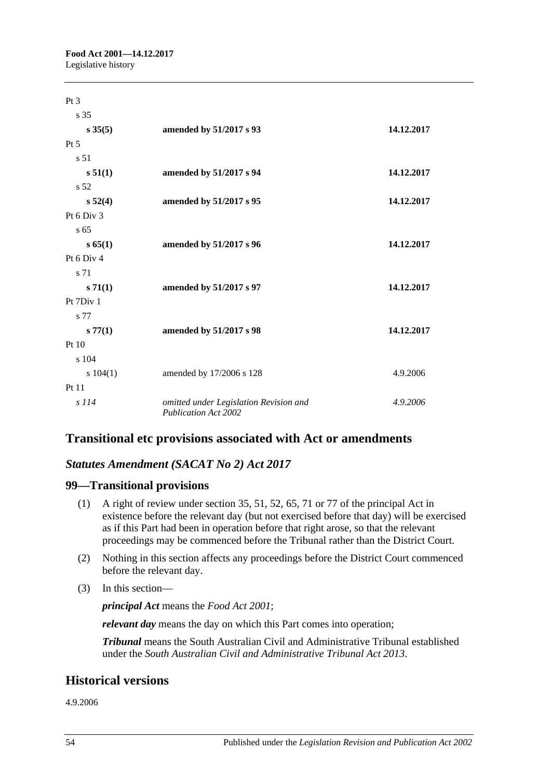| Pt <sub>3</sub> |                                                                       |            |
|-----------------|-----------------------------------------------------------------------|------------|
| s 35            |                                                                       |            |
| $s \, 35(5)$    | amended by 51/2017 s 93                                               | 14.12.2017 |
| $Pt\,5$         |                                                                       |            |
| s 51            |                                                                       |            |
| s 51(1)         | amended by 51/2017 s 94                                               | 14.12.2017 |
| s 52            |                                                                       |            |
| $s\,52(4)$      | amended by 51/2017 s 95                                               | 14.12.2017 |
| Pt 6 Div 3      |                                                                       |            |
| s <sub>65</sub> |                                                                       |            |
| s 65(1)         | amended by 51/2017 s 96                                               | 14.12.2017 |
| Pt 6 Div 4      |                                                                       |            |
| s 71            |                                                                       |            |
| $s \, 71(1)$    | amended by 51/2017 s 97                                               | 14.12.2017 |
| Pt 7Div 1       |                                                                       |            |
| s 77            |                                                                       |            |
| s 77(1)         | amended by 51/2017 s 98                                               | 14.12.2017 |
| Pt 10           |                                                                       |            |
| s 104           |                                                                       |            |
| s 104(1)        | amended by 17/2006 s 128                                              | 4.9.2006   |
| Pt 11           |                                                                       |            |
| $s$ 114         | omitted under Legislation Revision and<br><b>Publication Act 2002</b> | 4.9.2006   |

# **Transitional etc provisions associated with Act or amendments**

## *Statutes Amendment (SACAT No 2) Act 2017*

## **99—Transitional provisions**

- (1) A right of review under section 35, 51, 52, 65, 71 or 77 of the principal Act in existence before the relevant day (but not exercised before that day) will be exercised as if this Part had been in operation before that right arose, so that the relevant proceedings may be commenced before the Tribunal rather than the District Court.
- (2) Nothing in this section affects any proceedings before the District Court commenced before the relevant day.
- (3) In this section—

*principal Act* means the *[Food Act](http://www.legislation.sa.gov.au/index.aspx?action=legref&type=act&legtitle=Food%20Act%202001) 2001*;

*relevant day* means the day on which this Part comes into operation;

*Tribunal* means the South Australian Civil and Administrative Tribunal established under the *[South Australian Civil and Administrative Tribunal Act](http://www.legislation.sa.gov.au/index.aspx?action=legref&type=act&legtitle=South%20Australian%20Civil%20and%20Administrative%20Tribunal%20Act%202013) 2013*.

## **Historical versions**

4.9.2006